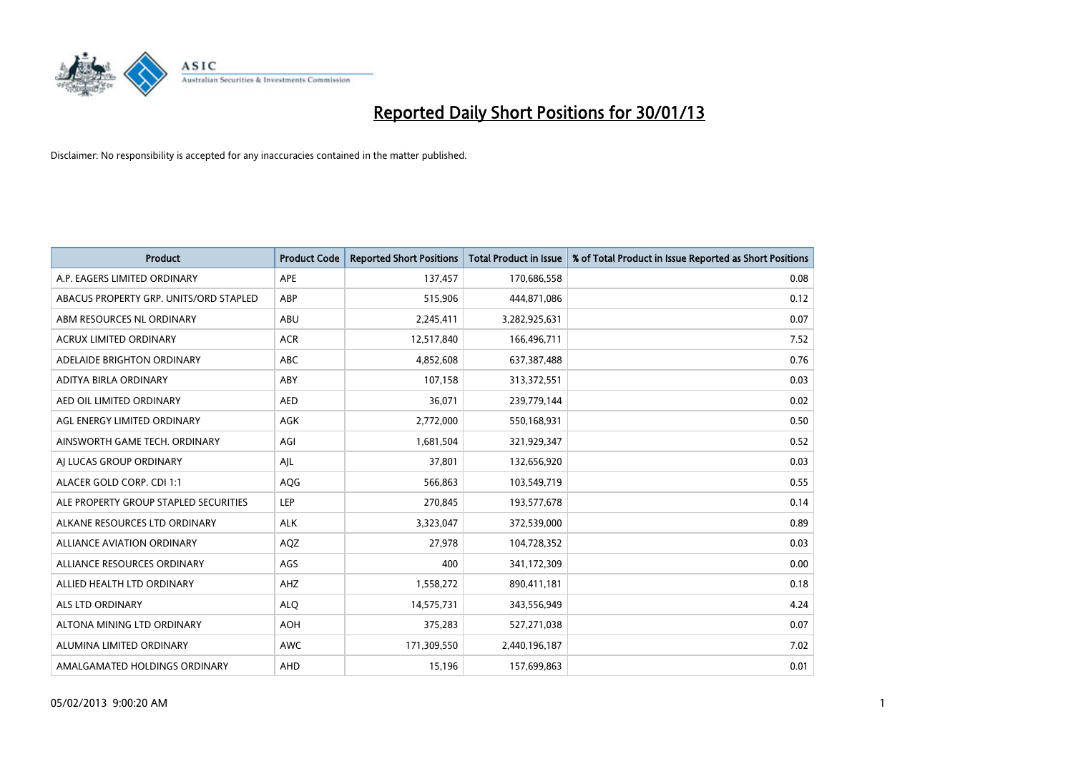

| <b>Product</b>                         | <b>Product Code</b> | <b>Reported Short Positions</b> | <b>Total Product in Issue</b> | % of Total Product in Issue Reported as Short Positions |
|----------------------------------------|---------------------|---------------------------------|-------------------------------|---------------------------------------------------------|
| A.P. EAGERS LIMITED ORDINARY           | APE                 | 137,457                         | 170,686,558                   | 0.08                                                    |
| ABACUS PROPERTY GRP. UNITS/ORD STAPLED | <b>ABP</b>          | 515,906                         | 444,871,086                   | 0.12                                                    |
| ABM RESOURCES NL ORDINARY              | <b>ABU</b>          | 2,245,411                       | 3,282,925,631                 | 0.07                                                    |
| ACRUX LIMITED ORDINARY                 | <b>ACR</b>          | 12,517,840                      | 166,496,711                   | 7.52                                                    |
| ADELAIDE BRIGHTON ORDINARY             | <b>ABC</b>          | 4,852,608                       | 637,387,488                   | 0.76                                                    |
| ADITYA BIRLA ORDINARY                  | ABY                 | 107,158                         | 313,372,551                   | 0.03                                                    |
| AED OIL LIMITED ORDINARY               | <b>AED</b>          | 36,071                          | 239,779,144                   | 0.02                                                    |
| AGL ENERGY LIMITED ORDINARY            | <b>AGK</b>          | 2,772,000                       | 550,168,931                   | 0.50                                                    |
| AINSWORTH GAME TECH. ORDINARY          | AGI                 | 1,681,504                       | 321,929,347                   | 0.52                                                    |
| AI LUCAS GROUP ORDINARY                | AJL                 | 37,801                          | 132,656,920                   | 0.03                                                    |
| ALACER GOLD CORP. CDI 1:1              | AQG                 | 566,863                         | 103,549,719                   | 0.55                                                    |
| ALE PROPERTY GROUP STAPLED SECURITIES  | LEP                 | 270,845                         | 193,577,678                   | 0.14                                                    |
| ALKANE RESOURCES LTD ORDINARY          | <b>ALK</b>          | 3,323,047                       | 372,539,000                   | 0.89                                                    |
| <b>ALLIANCE AVIATION ORDINARY</b>      | AQZ                 | 27,978                          | 104,728,352                   | 0.03                                                    |
| ALLIANCE RESOURCES ORDINARY            | AGS                 | 400                             | 341,172,309                   | 0.00                                                    |
| ALLIED HEALTH LTD ORDINARY             | AHZ                 | 1,558,272                       | 890,411,181                   | 0.18                                                    |
| ALS LTD ORDINARY                       | <b>ALO</b>          | 14,575,731                      | 343,556,949                   | 4.24                                                    |
| ALTONA MINING LTD ORDINARY             | <b>AOH</b>          | 375,283                         | 527,271,038                   | 0.07                                                    |
| ALUMINA LIMITED ORDINARY               | <b>AWC</b>          | 171,309,550                     | 2,440,196,187                 | 7.02                                                    |
| AMALGAMATED HOLDINGS ORDINARY          | AHD                 | 15,196                          | 157,699,863                   | 0.01                                                    |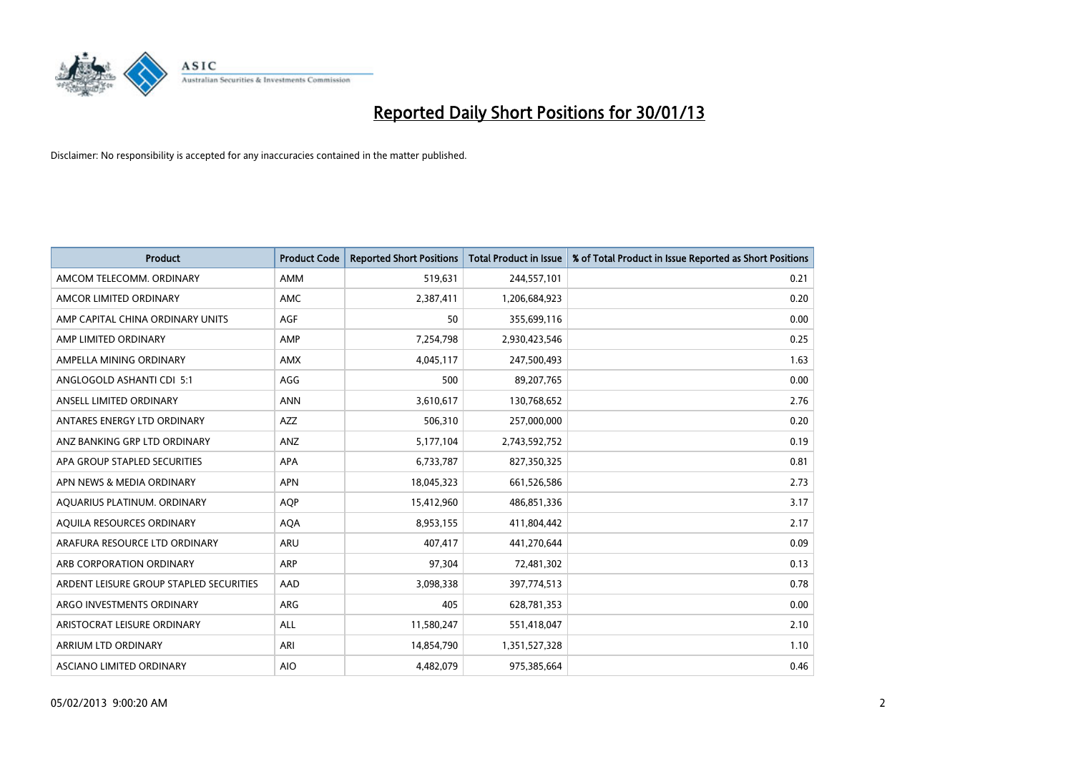

| <b>Product</b>                          | <b>Product Code</b> | <b>Reported Short Positions</b> | <b>Total Product in Issue</b> | % of Total Product in Issue Reported as Short Positions |
|-----------------------------------------|---------------------|---------------------------------|-------------------------------|---------------------------------------------------------|
| AMCOM TELECOMM, ORDINARY                | AMM                 | 519,631                         | 244,557,101                   | 0.21                                                    |
| AMCOR LIMITED ORDINARY                  | <b>AMC</b>          | 2,387,411                       | 1,206,684,923                 | 0.20                                                    |
| AMP CAPITAL CHINA ORDINARY UNITS        | AGF                 | 50                              | 355,699,116                   | 0.00                                                    |
| AMP LIMITED ORDINARY                    | AMP                 | 7,254,798                       | 2,930,423,546                 | 0.25                                                    |
| AMPELLA MINING ORDINARY                 | <b>AMX</b>          | 4,045,117                       | 247,500,493                   | 1.63                                                    |
| ANGLOGOLD ASHANTI CDI 5:1               | AGG                 | 500                             | 89,207,765                    | 0.00                                                    |
| ANSELL LIMITED ORDINARY                 | <b>ANN</b>          | 3,610,617                       | 130,768,652                   | 2.76                                                    |
| ANTARES ENERGY LTD ORDINARY             | <b>AZZ</b>          | 506,310                         | 257,000,000                   | 0.20                                                    |
| ANZ BANKING GRP LTD ORDINARY            | ANZ                 | 5,177,104                       | 2,743,592,752                 | 0.19                                                    |
| APA GROUP STAPLED SECURITIES            | <b>APA</b>          | 6,733,787                       | 827,350,325                   | 0.81                                                    |
| APN NEWS & MEDIA ORDINARY               | <b>APN</b>          | 18,045,323                      | 661,526,586                   | 2.73                                                    |
| AQUARIUS PLATINUM. ORDINARY             | <b>AOP</b>          | 15,412,960                      | 486,851,336                   | 3.17                                                    |
| AQUILA RESOURCES ORDINARY               | <b>AQA</b>          | 8,953,155                       | 411,804,442                   | 2.17                                                    |
| ARAFURA RESOURCE LTD ORDINARY           | <b>ARU</b>          | 407.417                         | 441,270,644                   | 0.09                                                    |
| ARB CORPORATION ORDINARY                | ARP                 | 97,304                          | 72,481,302                    | 0.13                                                    |
| ARDENT LEISURE GROUP STAPLED SECURITIES | AAD                 | 3,098,338                       | 397,774,513                   | 0.78                                                    |
| ARGO INVESTMENTS ORDINARY               | ARG                 | 405                             | 628,781,353                   | 0.00                                                    |
| ARISTOCRAT LEISURE ORDINARY             | <b>ALL</b>          | 11,580,247                      | 551,418,047                   | 2.10                                                    |
| <b>ARRIUM LTD ORDINARY</b>              | ARI                 | 14,854,790                      | 1,351,527,328                 | 1.10                                                    |
| <b>ASCIANO LIMITED ORDINARY</b>         | <b>AIO</b>          | 4.482.079                       | 975,385,664                   | 0.46                                                    |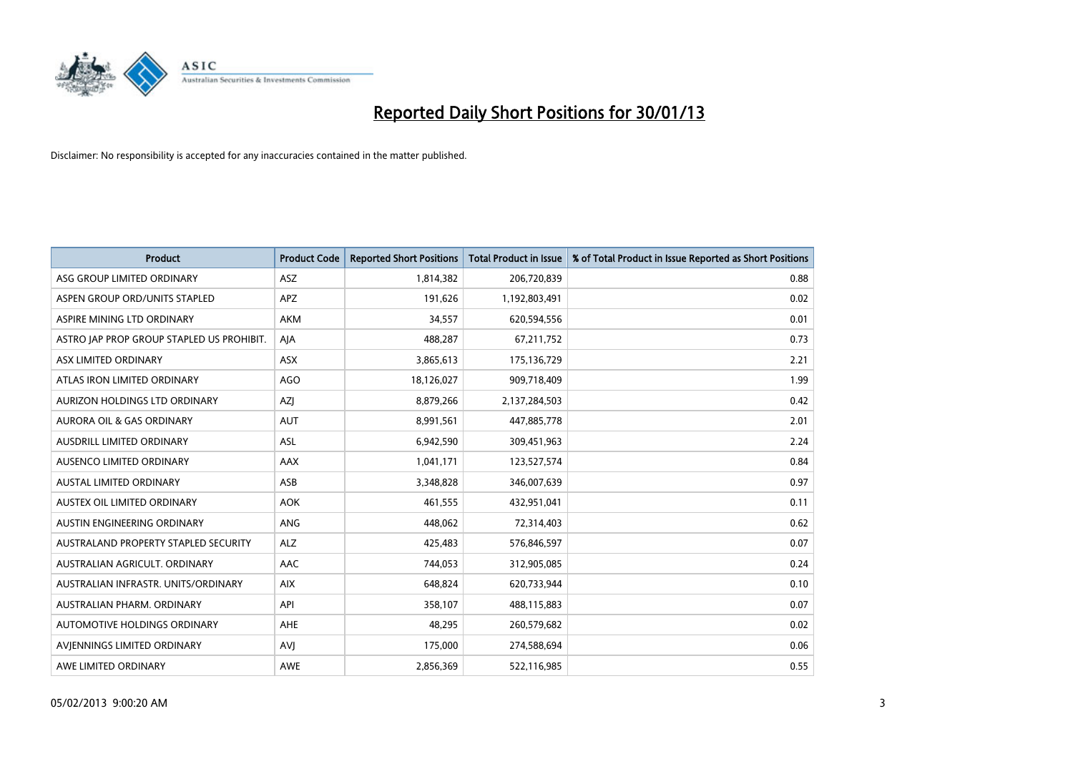

| <b>Product</b>                            | <b>Product Code</b> | <b>Reported Short Positions</b> | Total Product in Issue | % of Total Product in Issue Reported as Short Positions |
|-------------------------------------------|---------------------|---------------------------------|------------------------|---------------------------------------------------------|
| ASG GROUP LIMITED ORDINARY                | <b>ASZ</b>          | 1,814,382                       | 206,720,839            | 0.88                                                    |
| ASPEN GROUP ORD/UNITS STAPLED             | APZ                 | 191,626                         | 1,192,803,491          | 0.02                                                    |
| ASPIRE MINING LTD ORDINARY                | <b>AKM</b>          | 34,557                          | 620,594,556            | 0.01                                                    |
| ASTRO JAP PROP GROUP STAPLED US PROHIBIT. | AIA                 | 488,287                         | 67,211,752             | 0.73                                                    |
| <b>ASX LIMITED ORDINARY</b>               | <b>ASX</b>          | 3,865,613                       | 175,136,729            | 2.21                                                    |
| ATLAS IRON LIMITED ORDINARY               | <b>AGO</b>          | 18,126,027                      | 909,718,409            | 1.99                                                    |
| AURIZON HOLDINGS LTD ORDINARY             | <b>AZI</b>          | 8,879,266                       | 2,137,284,503          | 0.42                                                    |
| <b>AURORA OIL &amp; GAS ORDINARY</b>      | <b>AUT</b>          | 8,991,561                       | 447,885,778            | 2.01                                                    |
| AUSDRILL LIMITED ORDINARY                 | ASL                 | 6,942,590                       | 309,451,963            | 2.24                                                    |
| AUSENCO LIMITED ORDINARY                  | AAX                 | 1,041,171                       | 123,527,574            | 0.84                                                    |
| AUSTAL LIMITED ORDINARY                   | ASB                 | 3,348,828                       | 346,007,639            | 0.97                                                    |
| AUSTEX OIL LIMITED ORDINARY               | <b>AOK</b>          | 461,555                         | 432,951,041            | 0.11                                                    |
| <b>AUSTIN ENGINEERING ORDINARY</b>        | ANG                 | 448,062                         | 72,314,403             | 0.62                                                    |
| AUSTRALAND PROPERTY STAPLED SECURITY      | <b>ALZ</b>          | 425,483                         | 576,846,597            | 0.07                                                    |
| AUSTRALIAN AGRICULT, ORDINARY             | AAC                 | 744,053                         | 312,905,085            | 0.24                                                    |
| AUSTRALIAN INFRASTR. UNITS/ORDINARY       | <b>AIX</b>          | 648,824                         | 620,733,944            | 0.10                                                    |
| AUSTRALIAN PHARM, ORDINARY                | API                 | 358,107                         | 488,115,883            | 0.07                                                    |
| AUTOMOTIVE HOLDINGS ORDINARY              | AHE                 | 48,295                          | 260,579,682            | 0.02                                                    |
| AVIENNINGS LIMITED ORDINARY               | AVI                 | 175,000                         | 274,588,694            | 0.06                                                    |
| AWE LIMITED ORDINARY                      | AWE                 | 2,856,369                       | 522,116,985            | 0.55                                                    |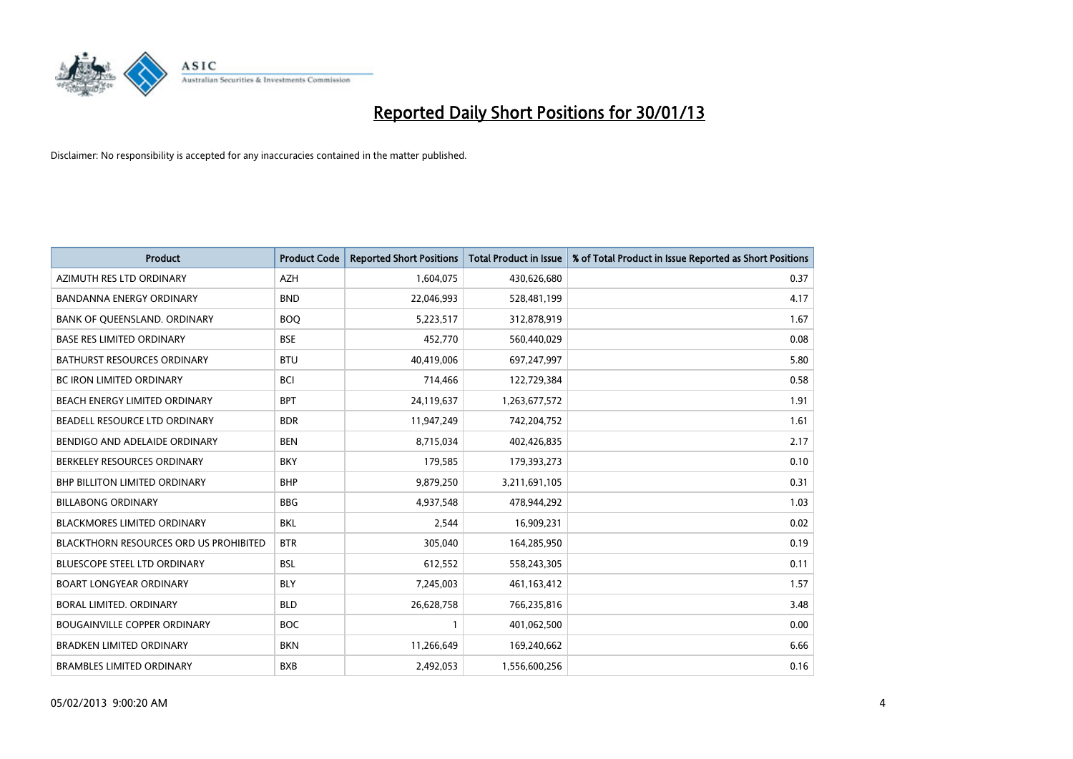

| <b>Product</b>                                | <b>Product Code</b> | <b>Reported Short Positions</b> | <b>Total Product in Issue</b> | % of Total Product in Issue Reported as Short Positions |
|-----------------------------------------------|---------------------|---------------------------------|-------------------------------|---------------------------------------------------------|
| AZIMUTH RES LTD ORDINARY                      | <b>AZH</b>          | 1,604,075                       | 430,626,680                   | 0.37                                                    |
| BANDANNA ENERGY ORDINARY                      | <b>BND</b>          | 22,046,993                      | 528,481,199                   | 4.17                                                    |
| BANK OF QUEENSLAND. ORDINARY                  | <b>BOO</b>          | 5,223,517                       | 312,878,919                   | 1.67                                                    |
| <b>BASE RES LIMITED ORDINARY</b>              | <b>BSE</b>          | 452,770                         | 560,440,029                   | 0.08                                                    |
| <b>BATHURST RESOURCES ORDINARY</b>            | <b>BTU</b>          | 40,419,006                      | 697,247,997                   | 5.80                                                    |
| <b>BC IRON LIMITED ORDINARY</b>               | <b>BCI</b>          | 714,466                         | 122,729,384                   | 0.58                                                    |
| <b>BEACH ENERGY LIMITED ORDINARY</b>          | <b>BPT</b>          | 24,119,637                      | 1,263,677,572                 | 1.91                                                    |
| BEADELL RESOURCE LTD ORDINARY                 | <b>BDR</b>          | 11,947,249                      | 742,204,752                   | 1.61                                                    |
| BENDIGO AND ADELAIDE ORDINARY                 | <b>BEN</b>          | 8,715,034                       | 402,426,835                   | 2.17                                                    |
| BERKELEY RESOURCES ORDINARY                   | <b>BKY</b>          | 179,585                         | 179,393,273                   | 0.10                                                    |
| BHP BILLITON LIMITED ORDINARY                 | <b>BHP</b>          | 9,879,250                       | 3,211,691,105                 | 0.31                                                    |
| <b>BILLABONG ORDINARY</b>                     | <b>BBG</b>          | 4,937,548                       | 478,944,292                   | 1.03                                                    |
| BLACKMORES LIMITED ORDINARY                   | <b>BKL</b>          | 2,544                           | 16,909,231                    | 0.02                                                    |
| <b>BLACKTHORN RESOURCES ORD US PROHIBITED</b> | <b>BTR</b>          | 305,040                         | 164,285,950                   | 0.19                                                    |
| <b>BLUESCOPE STEEL LTD ORDINARY</b>           | <b>BSL</b>          | 612,552                         | 558,243,305                   | 0.11                                                    |
| <b>BOART LONGYEAR ORDINARY</b>                | <b>BLY</b>          | 7,245,003                       | 461,163,412                   | 1.57                                                    |
| BORAL LIMITED. ORDINARY                       | <b>BLD</b>          | 26,628,758                      | 766,235,816                   | 3.48                                                    |
| <b>BOUGAINVILLE COPPER ORDINARY</b>           | <b>BOC</b>          |                                 | 401,062,500                   | 0.00                                                    |
| <b>BRADKEN LIMITED ORDINARY</b>               | <b>BKN</b>          | 11,266,649                      | 169,240,662                   | 6.66                                                    |
| <b>BRAMBLES LIMITED ORDINARY</b>              | <b>BXB</b>          | 2,492,053                       | 1,556,600,256                 | 0.16                                                    |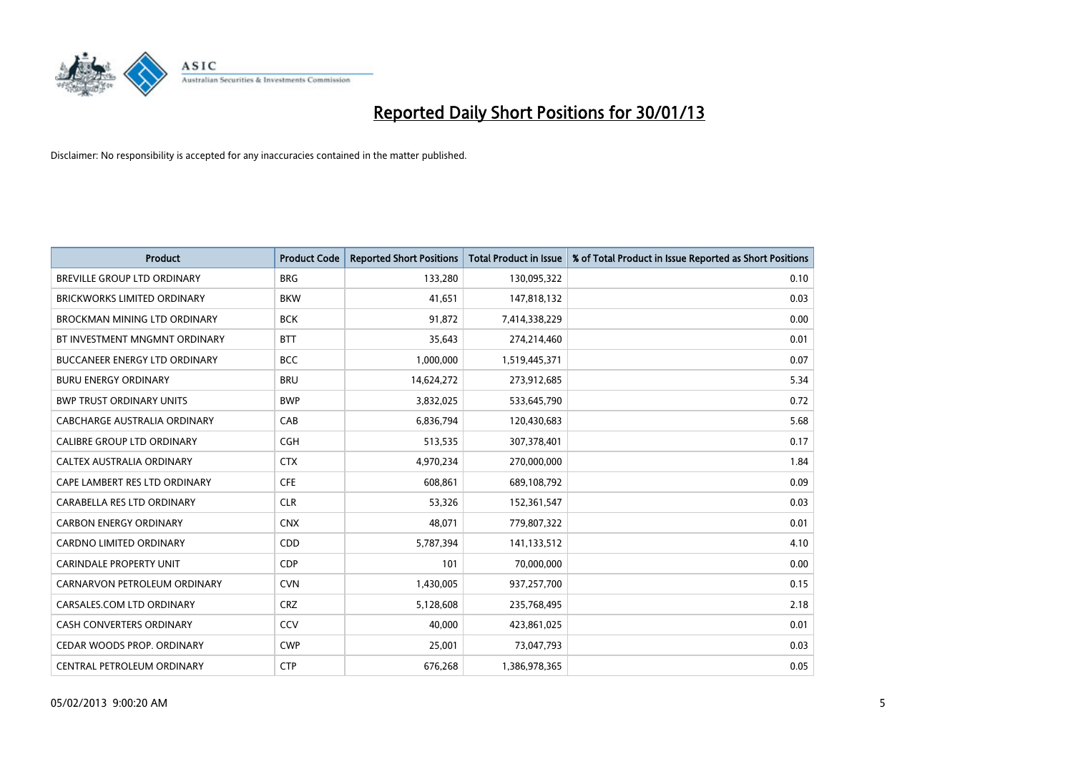

| <b>Product</b>                       | <b>Product Code</b> | <b>Reported Short Positions</b> | <b>Total Product in Issue</b> | % of Total Product in Issue Reported as Short Positions |
|--------------------------------------|---------------------|---------------------------------|-------------------------------|---------------------------------------------------------|
| <b>BREVILLE GROUP LTD ORDINARY</b>   | <b>BRG</b>          | 133,280                         | 130,095,322                   | 0.10                                                    |
| <b>BRICKWORKS LIMITED ORDINARY</b>   | <b>BKW</b>          | 41,651                          | 147,818,132                   | 0.03                                                    |
| BROCKMAN MINING LTD ORDINARY         | <b>BCK</b>          | 91,872                          | 7,414,338,229                 | 0.00                                                    |
| BT INVESTMENT MNGMNT ORDINARY        | <b>BTT</b>          | 35,643                          | 274,214,460                   | 0.01                                                    |
| <b>BUCCANEER ENERGY LTD ORDINARY</b> | <b>BCC</b>          | 1,000,000                       | 1,519,445,371                 | 0.07                                                    |
| <b>BURU ENERGY ORDINARY</b>          | <b>BRU</b>          | 14,624,272                      | 273,912,685                   | 5.34                                                    |
| <b>BWP TRUST ORDINARY UNITS</b>      | <b>BWP</b>          | 3,832,025                       | 533,645,790                   | 0.72                                                    |
| CABCHARGE AUSTRALIA ORDINARY         | CAB                 | 6,836,794                       | 120,430,683                   | 5.68                                                    |
| CALIBRE GROUP LTD ORDINARY           | <b>CGH</b>          | 513,535                         | 307,378,401                   | 0.17                                                    |
| CALTEX AUSTRALIA ORDINARY            | <b>CTX</b>          | 4,970,234                       | 270,000,000                   | 1.84                                                    |
| CAPE LAMBERT RES LTD ORDINARY        | <b>CFE</b>          | 608,861                         | 689,108,792                   | 0.09                                                    |
| CARABELLA RES LTD ORDINARY           | <b>CLR</b>          | 53,326                          | 152,361,547                   | 0.03                                                    |
| <b>CARBON ENERGY ORDINARY</b>        | <b>CNX</b>          | 48,071                          | 779,807,322                   | 0.01                                                    |
| <b>CARDNO LIMITED ORDINARY</b>       | CDD                 | 5,787,394                       | 141,133,512                   | 4.10                                                    |
| <b>CARINDALE PROPERTY UNIT</b>       | <b>CDP</b>          | 101                             | 70,000,000                    | 0.00                                                    |
| CARNARVON PETROLEUM ORDINARY         | <b>CVN</b>          | 1,430,005                       | 937,257,700                   | 0.15                                                    |
| CARSALES.COM LTD ORDINARY            | <b>CRZ</b>          | 5,128,608                       | 235,768,495                   | 2.18                                                    |
| <b>CASH CONVERTERS ORDINARY</b>      | CCV                 | 40,000                          | 423,861,025                   | 0.01                                                    |
| CEDAR WOODS PROP. ORDINARY           | <b>CWP</b>          | 25,001                          | 73,047,793                    | 0.03                                                    |
| CENTRAL PETROLEUM ORDINARY           | <b>CTP</b>          | 676.268                         | 1,386,978,365                 | 0.05                                                    |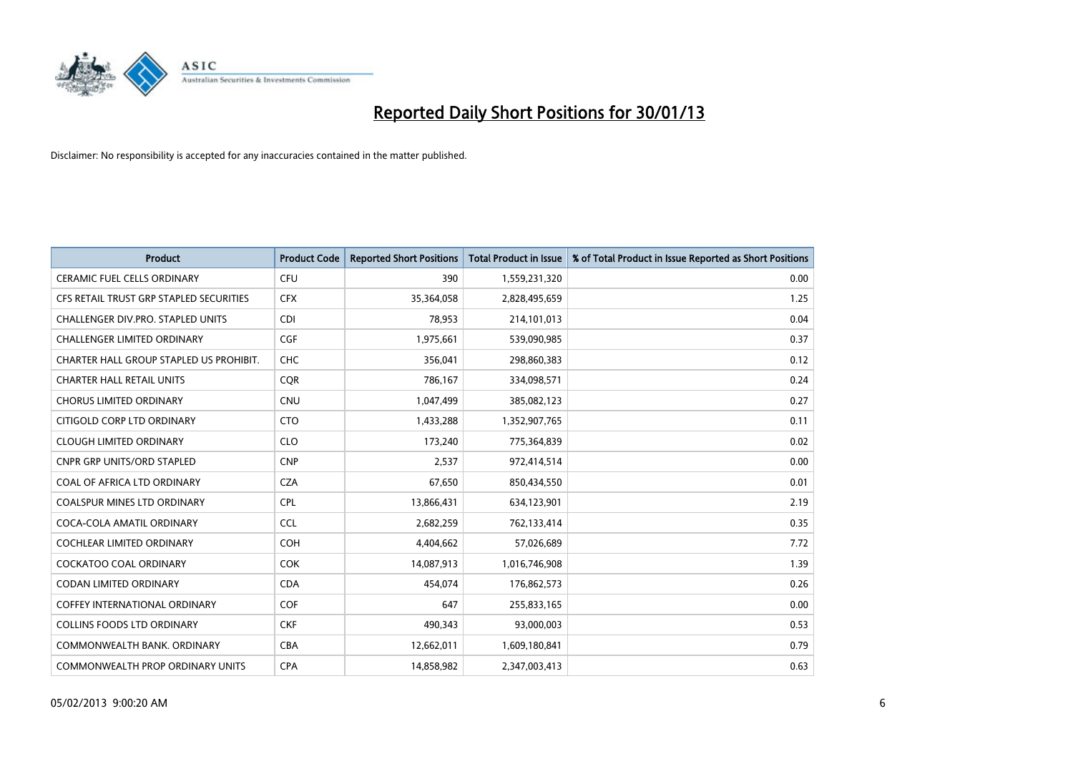

| <b>Product</b>                          | <b>Product Code</b> | <b>Reported Short Positions</b> | <b>Total Product in Issue</b> | % of Total Product in Issue Reported as Short Positions |
|-----------------------------------------|---------------------|---------------------------------|-------------------------------|---------------------------------------------------------|
| <b>CERAMIC FUEL CELLS ORDINARY</b>      | <b>CFU</b>          | 390                             | 1,559,231,320                 | 0.00                                                    |
| CFS RETAIL TRUST GRP STAPLED SECURITIES | <b>CFX</b>          | 35,364,058                      | 2,828,495,659                 | 1.25                                                    |
| CHALLENGER DIV.PRO. STAPLED UNITS       | <b>CDI</b>          | 78,953                          | 214,101,013                   | 0.04                                                    |
| CHALLENGER LIMITED ORDINARY             | <b>CGF</b>          | 1,975,661                       | 539,090,985                   | 0.37                                                    |
| CHARTER HALL GROUP STAPLED US PROHIBIT. | <b>CHC</b>          | 356.041                         | 298,860,383                   | 0.12                                                    |
| <b>CHARTER HALL RETAIL UNITS</b>        | <b>CQR</b>          | 786,167                         | 334,098,571                   | 0.24                                                    |
| <b>CHORUS LIMITED ORDINARY</b>          | <b>CNU</b>          | 1,047,499                       | 385,082,123                   | 0.27                                                    |
| CITIGOLD CORP LTD ORDINARY              | <b>CTO</b>          | 1,433,288                       | 1,352,907,765                 | 0.11                                                    |
| <b>CLOUGH LIMITED ORDINARY</b>          | <b>CLO</b>          | 173,240                         | 775,364,839                   | 0.02                                                    |
| <b>CNPR GRP UNITS/ORD STAPLED</b>       | <b>CNP</b>          | 2,537                           | 972,414,514                   | 0.00                                                    |
| COAL OF AFRICA LTD ORDINARY             | <b>CZA</b>          | 67,650                          | 850,434,550                   | 0.01                                                    |
| <b>COALSPUR MINES LTD ORDINARY</b>      | <b>CPL</b>          | 13,866,431                      | 634,123,901                   | 2.19                                                    |
| COCA-COLA AMATIL ORDINARY               | <b>CCL</b>          | 2,682,259                       | 762,133,414                   | 0.35                                                    |
| <b>COCHLEAR LIMITED ORDINARY</b>        | <b>COH</b>          | 4,404,662                       | 57,026,689                    | 7.72                                                    |
| <b>COCKATOO COAL ORDINARY</b>           | <b>COK</b>          | 14,087,913                      | 1,016,746,908                 | 1.39                                                    |
| <b>CODAN LIMITED ORDINARY</b>           | <b>CDA</b>          | 454.074                         | 176,862,573                   | 0.26                                                    |
| <b>COFFEY INTERNATIONAL ORDINARY</b>    | <b>COF</b>          | 647                             | 255,833,165                   | 0.00                                                    |
| <b>COLLINS FOODS LTD ORDINARY</b>       | <b>CKF</b>          | 490,343                         | 93,000,003                    | 0.53                                                    |
| COMMONWEALTH BANK, ORDINARY             | <b>CBA</b>          | 12,662,011                      | 1,609,180,841                 | 0.79                                                    |
| <b>COMMONWEALTH PROP ORDINARY UNITS</b> | <b>CPA</b>          | 14.858.982                      | 2,347,003,413                 | 0.63                                                    |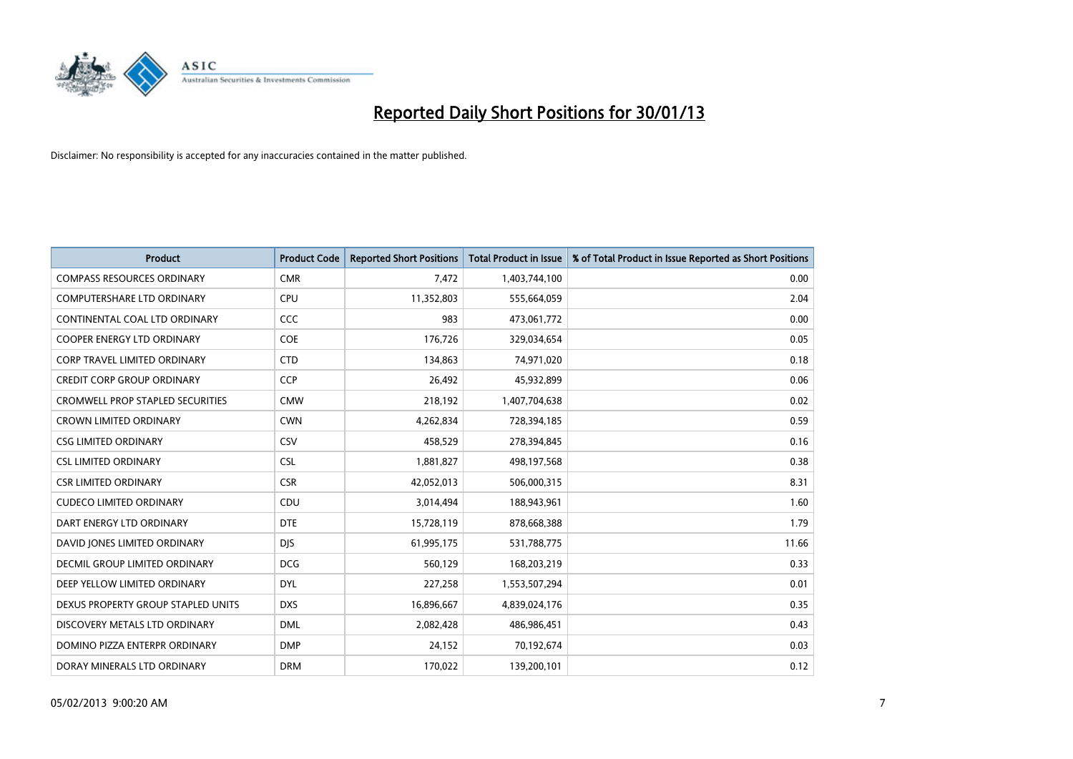

| <b>Product</b>                          | <b>Product Code</b> | <b>Reported Short Positions</b> | <b>Total Product in Issue</b> | % of Total Product in Issue Reported as Short Positions |
|-----------------------------------------|---------------------|---------------------------------|-------------------------------|---------------------------------------------------------|
| <b>COMPASS RESOURCES ORDINARY</b>       | <b>CMR</b>          | 7,472                           | 1,403,744,100                 | 0.00                                                    |
| COMPUTERSHARE LTD ORDINARY              | <b>CPU</b>          | 11,352,803                      | 555,664,059                   | 2.04                                                    |
| CONTINENTAL COAL LTD ORDINARY           | CCC                 | 983                             | 473,061,772                   | 0.00                                                    |
| COOPER ENERGY LTD ORDINARY              | <b>COE</b>          | 176,726                         | 329,034,654                   | 0.05                                                    |
| <b>CORP TRAVEL LIMITED ORDINARY</b>     | <b>CTD</b>          | 134,863                         | 74,971,020                    | 0.18                                                    |
| <b>CREDIT CORP GROUP ORDINARY</b>       | <b>CCP</b>          | 26,492                          | 45,932,899                    | 0.06                                                    |
| <b>CROMWELL PROP STAPLED SECURITIES</b> | <b>CMW</b>          | 218,192                         | 1,407,704,638                 | 0.02                                                    |
| <b>CROWN LIMITED ORDINARY</b>           | <b>CWN</b>          | 4,262,834                       | 728,394,185                   | 0.59                                                    |
| <b>CSG LIMITED ORDINARY</b>             | CSV                 | 458,529                         | 278,394,845                   | 0.16                                                    |
| <b>CSL LIMITED ORDINARY</b>             | <b>CSL</b>          | 1,881,827                       | 498,197,568                   | 0.38                                                    |
| <b>CSR LIMITED ORDINARY</b>             | <b>CSR</b>          | 42,052,013                      | 506,000,315                   | 8.31                                                    |
| <b>CUDECO LIMITED ORDINARY</b>          | CDU                 | 3,014,494                       | 188,943,961                   | 1.60                                                    |
| DART ENERGY LTD ORDINARY                | <b>DTE</b>          | 15,728,119                      | 878,668,388                   | 1.79                                                    |
| DAVID JONES LIMITED ORDINARY            | <b>DIS</b>          | 61,995,175                      | 531,788,775                   | 11.66                                                   |
| DECMIL GROUP LIMITED ORDINARY           | <b>DCG</b>          | 560,129                         | 168,203,219                   | 0.33                                                    |
| DEEP YELLOW LIMITED ORDINARY            | <b>DYL</b>          | 227,258                         | 1,553,507,294                 | 0.01                                                    |
| DEXUS PROPERTY GROUP STAPLED UNITS      | <b>DXS</b>          | 16,896,667                      | 4,839,024,176                 | 0.35                                                    |
| DISCOVERY METALS LTD ORDINARY           | <b>DML</b>          | 2,082,428                       | 486,986,451                   | 0.43                                                    |
| DOMINO PIZZA ENTERPR ORDINARY           | <b>DMP</b>          | 24,152                          | 70,192,674                    | 0.03                                                    |
| DORAY MINERALS LTD ORDINARY             | <b>DRM</b>          | 170,022                         | 139,200,101                   | 0.12                                                    |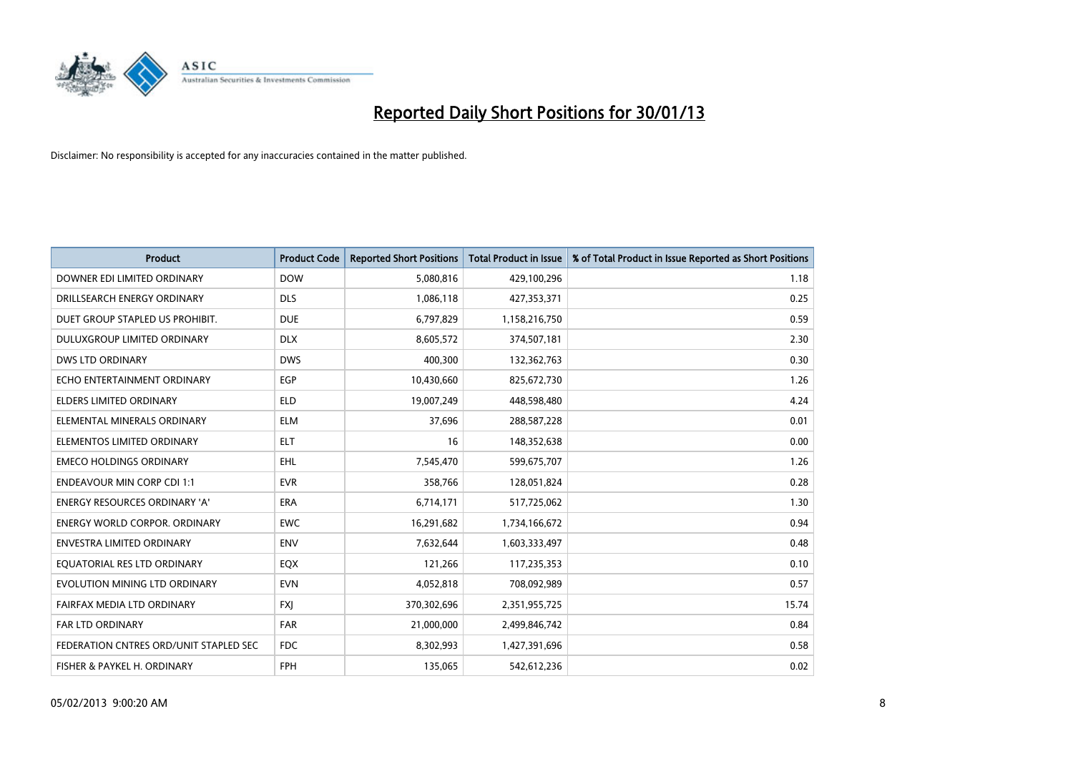

| <b>Product</b>                         | <b>Product Code</b> | <b>Reported Short Positions</b> | <b>Total Product in Issue</b> | % of Total Product in Issue Reported as Short Positions |
|----------------------------------------|---------------------|---------------------------------|-------------------------------|---------------------------------------------------------|
| DOWNER EDI LIMITED ORDINARY            | <b>DOW</b>          | 5,080,816                       | 429,100,296                   | 1.18                                                    |
| DRILLSEARCH ENERGY ORDINARY            | <b>DLS</b>          | 1,086,118                       | 427,353,371                   | 0.25                                                    |
| DUET GROUP STAPLED US PROHIBIT.        | <b>DUE</b>          | 6,797,829                       | 1,158,216,750                 | 0.59                                                    |
| DULUXGROUP LIMITED ORDINARY            | <b>DLX</b>          | 8,605,572                       | 374,507,181                   | 2.30                                                    |
| <b>DWS LTD ORDINARY</b>                | <b>DWS</b>          | 400,300                         | 132,362,763                   | 0.30                                                    |
| ECHO ENTERTAINMENT ORDINARY            | EGP                 | 10,430,660                      | 825,672,730                   | 1.26                                                    |
| ELDERS LIMITED ORDINARY                | <b>ELD</b>          | 19,007,249                      | 448,598,480                   | 4.24                                                    |
| ELEMENTAL MINERALS ORDINARY            | <b>ELM</b>          | 37,696                          | 288,587,228                   | 0.01                                                    |
| ELEMENTOS LIMITED ORDINARY             | <b>ELT</b>          | 16                              | 148,352,638                   | 0.00                                                    |
| <b>EMECO HOLDINGS ORDINARY</b>         | <b>EHL</b>          | 7,545,470                       | 599,675,707                   | 1.26                                                    |
| <b>ENDEAVOUR MIN CORP CDI 1:1</b>      | <b>EVR</b>          | 358,766                         | 128,051,824                   | 0.28                                                    |
| <b>ENERGY RESOURCES ORDINARY 'A'</b>   | <b>ERA</b>          | 6,714,171                       | 517,725,062                   | 1.30                                                    |
| ENERGY WORLD CORPOR. ORDINARY          | <b>EWC</b>          | 16,291,682                      | 1,734,166,672                 | 0.94                                                    |
| <b>ENVESTRA LIMITED ORDINARY</b>       | <b>ENV</b>          | 7,632,644                       | 1,603,333,497                 | 0.48                                                    |
| EQUATORIAL RES LTD ORDINARY            | EQX                 | 121,266                         | 117,235,353                   | 0.10                                                    |
| EVOLUTION MINING LTD ORDINARY          | <b>EVN</b>          | 4,052,818                       | 708,092,989                   | 0.57                                                    |
| FAIRFAX MEDIA LTD ORDINARY             | <b>FXI</b>          | 370,302,696                     | 2,351,955,725                 | 15.74                                                   |
| <b>FAR LTD ORDINARY</b>                | <b>FAR</b>          | 21,000,000                      | 2,499,846,742                 | 0.84                                                    |
| FEDERATION CNTRES ORD/UNIT STAPLED SEC | <b>FDC</b>          | 8,302,993                       | 1,427,391,696                 | 0.58                                                    |
| FISHER & PAYKEL H. ORDINARY            | <b>FPH</b>          | 135,065                         | 542,612,236                   | 0.02                                                    |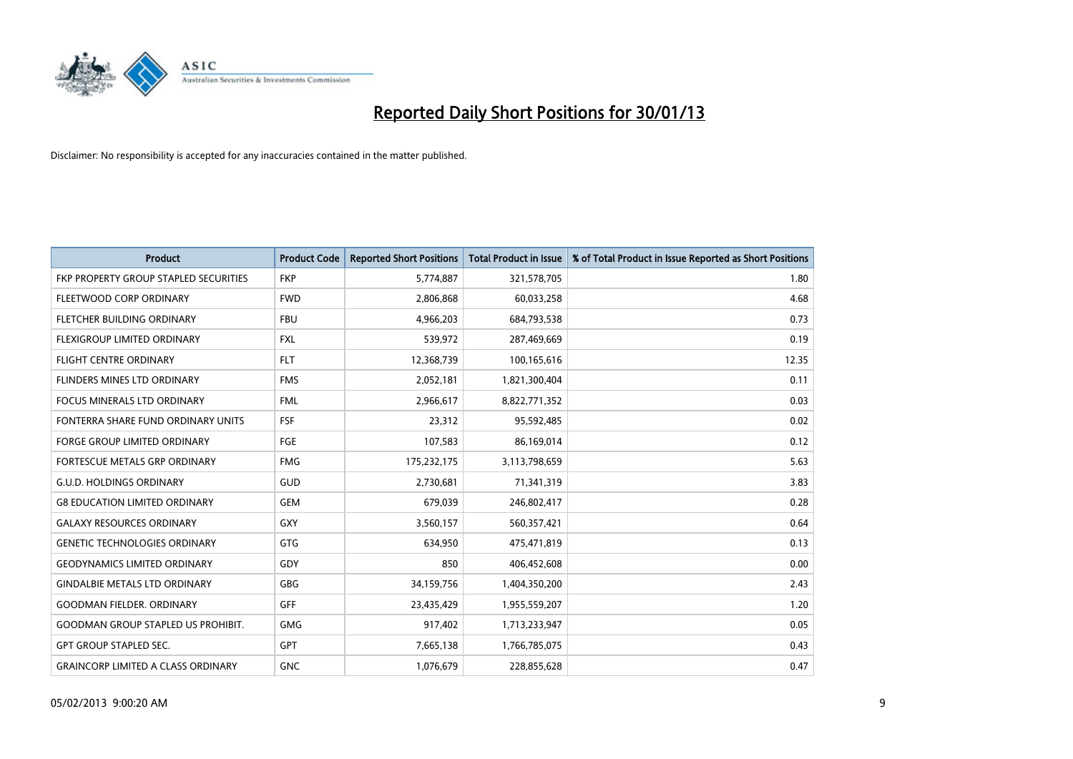

| <b>Product</b>                            | <b>Product Code</b> | <b>Reported Short Positions</b> | <b>Total Product in Issue</b> | % of Total Product in Issue Reported as Short Positions |
|-------------------------------------------|---------------------|---------------------------------|-------------------------------|---------------------------------------------------------|
| FKP PROPERTY GROUP STAPLED SECURITIES     | <b>FKP</b>          | 5,774,887                       | 321,578,705                   | 1.80                                                    |
| FLEETWOOD CORP ORDINARY                   | <b>FWD</b>          | 2,806,868                       | 60,033,258                    | 4.68                                                    |
| FLETCHER BUILDING ORDINARY                | <b>FBU</b>          | 4,966,203                       | 684,793,538                   | 0.73                                                    |
| FLEXIGROUP LIMITED ORDINARY               | <b>FXL</b>          | 539,972                         | 287,469,669                   | 0.19                                                    |
| <b>FLIGHT CENTRE ORDINARY</b>             | <b>FLT</b>          | 12,368,739                      | 100,165,616                   | 12.35                                                   |
| FLINDERS MINES LTD ORDINARY               | <b>FMS</b>          | 2,052,181                       | 1,821,300,404                 | 0.11                                                    |
| <b>FOCUS MINERALS LTD ORDINARY</b>        | <b>FML</b>          | 2,966,617                       | 8,822,771,352                 | 0.03                                                    |
| FONTERRA SHARE FUND ORDINARY UNITS        | FSF                 | 23,312                          | 95,592,485                    | 0.02                                                    |
| <b>FORGE GROUP LIMITED ORDINARY</b>       | <b>FGE</b>          | 107,583                         | 86,169,014                    | 0.12                                                    |
| FORTESCUE METALS GRP ORDINARY             | <b>FMG</b>          | 175,232,175                     | 3,113,798,659                 | 5.63                                                    |
| <b>G.U.D. HOLDINGS ORDINARY</b>           | <b>GUD</b>          | 2,730,681                       | 71,341,319                    | 3.83                                                    |
| <b>G8 EDUCATION LIMITED ORDINARY</b>      | <b>GEM</b>          | 679,039                         | 246,802,417                   | 0.28                                                    |
| <b>GALAXY RESOURCES ORDINARY</b>          | GXY                 | 3,560,157                       | 560,357,421                   | 0.64                                                    |
| <b>GENETIC TECHNOLOGIES ORDINARY</b>      | <b>GTG</b>          | 634,950                         | 475,471,819                   | 0.13                                                    |
| <b>GEODYNAMICS LIMITED ORDINARY</b>       | GDY                 | 850                             | 406,452,608                   | 0.00                                                    |
| <b>GINDALBIE METALS LTD ORDINARY</b>      | <b>GBG</b>          | 34,159,756                      | 1,404,350,200                 | 2.43                                                    |
| <b>GOODMAN FIELDER. ORDINARY</b>          | <b>GFF</b>          | 23,435,429                      | 1,955,559,207                 | 1.20                                                    |
| <b>GOODMAN GROUP STAPLED US PROHIBIT.</b> | <b>GMG</b>          | 917,402                         | 1,713,233,947                 | 0.05                                                    |
| <b>GPT GROUP STAPLED SEC.</b>             | <b>GPT</b>          | 7,665,138                       | 1,766,785,075                 | 0.43                                                    |
| <b>GRAINCORP LIMITED A CLASS ORDINARY</b> | <b>GNC</b>          | 1,076,679                       | 228,855,628                   | 0.47                                                    |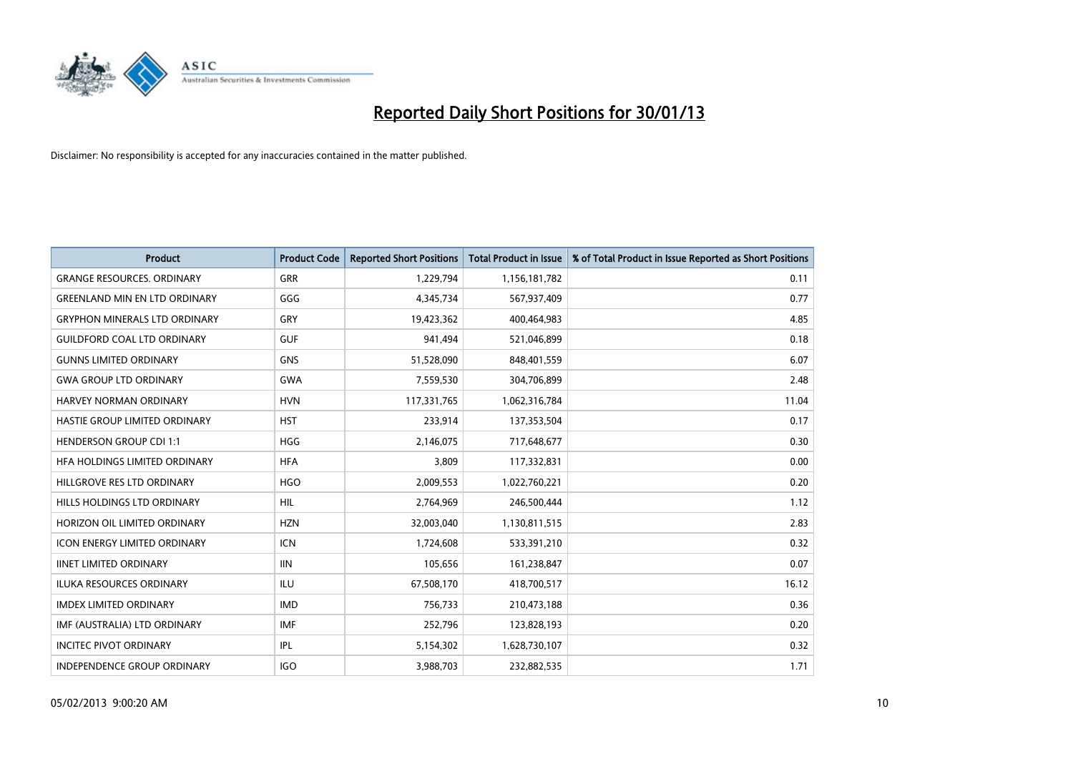

| <b>Product</b>                       | <b>Product Code</b> | <b>Reported Short Positions</b> | <b>Total Product in Issue</b> | % of Total Product in Issue Reported as Short Positions |
|--------------------------------------|---------------------|---------------------------------|-------------------------------|---------------------------------------------------------|
| <b>GRANGE RESOURCES, ORDINARY</b>    | <b>GRR</b>          | 1,229,794                       | 1,156,181,782                 | 0.11                                                    |
| <b>GREENLAND MIN EN LTD ORDINARY</b> | GGG                 | 4,345,734                       | 567,937,409                   | 0.77                                                    |
| <b>GRYPHON MINERALS LTD ORDINARY</b> | GRY                 | 19,423,362                      | 400,464,983                   | 4.85                                                    |
| <b>GUILDFORD COAL LTD ORDINARY</b>   | <b>GUF</b>          | 941,494                         | 521,046,899                   | 0.18                                                    |
| <b>GUNNS LIMITED ORDINARY</b>        | <b>GNS</b>          | 51,528,090                      | 848,401,559                   | 6.07                                                    |
| <b>GWA GROUP LTD ORDINARY</b>        | <b>GWA</b>          | 7,559,530                       | 304,706,899                   | 2.48                                                    |
| <b>HARVEY NORMAN ORDINARY</b>        | <b>HVN</b>          | 117,331,765                     | 1,062,316,784                 | 11.04                                                   |
| HASTIE GROUP LIMITED ORDINARY        | <b>HST</b>          | 233,914                         | 137,353,504                   | 0.17                                                    |
| <b>HENDERSON GROUP CDI 1:1</b>       | <b>HGG</b>          | 2,146,075                       | 717,648,677                   | 0.30                                                    |
| HEA HOLDINGS LIMITED ORDINARY        | <b>HFA</b>          | 3,809                           | 117,332,831                   | 0.00                                                    |
| HILLGROVE RES LTD ORDINARY           | <b>HGO</b>          | 2,009,553                       | 1,022,760,221                 | 0.20                                                    |
| HILLS HOLDINGS LTD ORDINARY          | <b>HIL</b>          | 2,764,969                       | 246,500,444                   | 1.12                                                    |
| HORIZON OIL LIMITED ORDINARY         | <b>HZN</b>          | 32,003,040                      | 1,130,811,515                 | 2.83                                                    |
| <b>ICON ENERGY LIMITED ORDINARY</b>  | <b>ICN</b>          | 1,724,608                       | 533,391,210                   | 0.32                                                    |
| <b>IINET LIMITED ORDINARY</b>        | <b>IIN</b>          | 105,656                         | 161,238,847                   | 0.07                                                    |
| <b>ILUKA RESOURCES ORDINARY</b>      | ILU                 | 67,508,170                      | 418,700,517                   | 16.12                                                   |
| <b>IMDEX LIMITED ORDINARY</b>        | <b>IMD</b>          | 756,733                         | 210,473,188                   | 0.36                                                    |
| IMF (AUSTRALIA) LTD ORDINARY         | <b>IMF</b>          | 252,796                         | 123,828,193                   | 0.20                                                    |
| <b>INCITEC PIVOT ORDINARY</b>        | <b>IPL</b>          | 5,154,302                       | 1,628,730,107                 | 0.32                                                    |
| INDEPENDENCE GROUP ORDINARY          | <b>IGO</b>          | 3,988,703                       | 232,882,535                   | 1.71                                                    |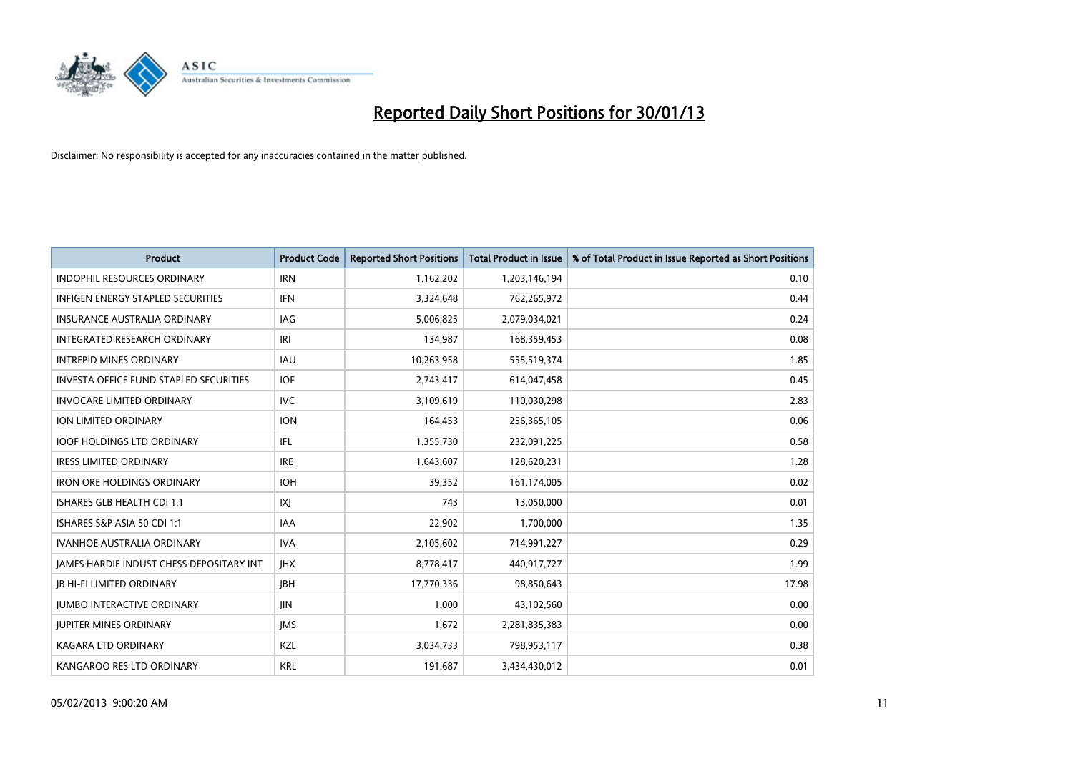

| <b>Product</b>                                  | <b>Product Code</b> | <b>Reported Short Positions</b> | <b>Total Product in Issue</b> | % of Total Product in Issue Reported as Short Positions |
|-------------------------------------------------|---------------------|---------------------------------|-------------------------------|---------------------------------------------------------|
| <b>INDOPHIL RESOURCES ORDINARY</b>              | <b>IRN</b>          | 1,162,202                       | 1,203,146,194                 | 0.10                                                    |
| INFIGEN ENERGY STAPLED SECURITIES               | <b>IFN</b>          | 3,324,648                       | 762,265,972                   | 0.44                                                    |
| <b>INSURANCE AUSTRALIA ORDINARY</b>             | IAG                 | 5,006,825                       | 2,079,034,021                 | 0.24                                                    |
| <b>INTEGRATED RESEARCH ORDINARY</b>             | IRI                 | 134,987                         | 168,359,453                   | 0.08                                                    |
| <b>INTREPID MINES ORDINARY</b>                  | <b>IAU</b>          | 10,263,958                      | 555,519,374                   | 1.85                                                    |
| <b>INVESTA OFFICE FUND STAPLED SECURITIES</b>   | <b>IOF</b>          | 2,743,417                       | 614,047,458                   | 0.45                                                    |
| <b>INVOCARE LIMITED ORDINARY</b>                | <b>IVC</b>          | 3,109,619                       | 110,030,298                   | 2.83                                                    |
| ION LIMITED ORDINARY                            | <b>ION</b>          | 164,453                         | 256,365,105                   | 0.06                                                    |
| <b>IOOF HOLDINGS LTD ORDINARY</b>               | <b>IFL</b>          | 1,355,730                       | 232,091,225                   | 0.58                                                    |
| <b>IRESS LIMITED ORDINARY</b>                   | <b>IRE</b>          | 1,643,607                       | 128,620,231                   | 1.28                                                    |
| <b>IRON ORE HOLDINGS ORDINARY</b>               | <b>IOH</b>          | 39,352                          | 161,174,005                   | 0.02                                                    |
| ISHARES GLB HEALTH CDI 1:1                      | X                   | 743                             | 13,050,000                    | 0.01                                                    |
| ISHARES S&P ASIA 50 CDI 1:1                     | <b>IAA</b>          | 22,902                          | 1,700,000                     | 1.35                                                    |
| <b>IVANHOE AUSTRALIA ORDINARY</b>               | <b>IVA</b>          | 2,105,602                       | 714,991,227                   | 0.29                                                    |
| <b>JAMES HARDIE INDUST CHESS DEPOSITARY INT</b> | <b>IHX</b>          | 8,778,417                       | 440,917,727                   | 1.99                                                    |
| <b>JB HI-FI LIMITED ORDINARY</b>                | <b>IBH</b>          | 17,770,336                      | 98,850,643                    | 17.98                                                   |
| <b>JUMBO INTERACTIVE ORDINARY</b>               | <b>JIN</b>          | 1,000                           | 43,102,560                    | 0.00                                                    |
| <b>JUPITER MINES ORDINARY</b>                   | <b>IMS</b>          | 1,672                           | 2,281,835,383                 | 0.00                                                    |
| <b>KAGARA LTD ORDINARY</b>                      | <b>KZL</b>          | 3,034,733                       | 798,953,117                   | 0.38                                                    |
| KANGAROO RES LTD ORDINARY                       | <b>KRL</b>          | 191,687                         | 3,434,430,012                 | 0.01                                                    |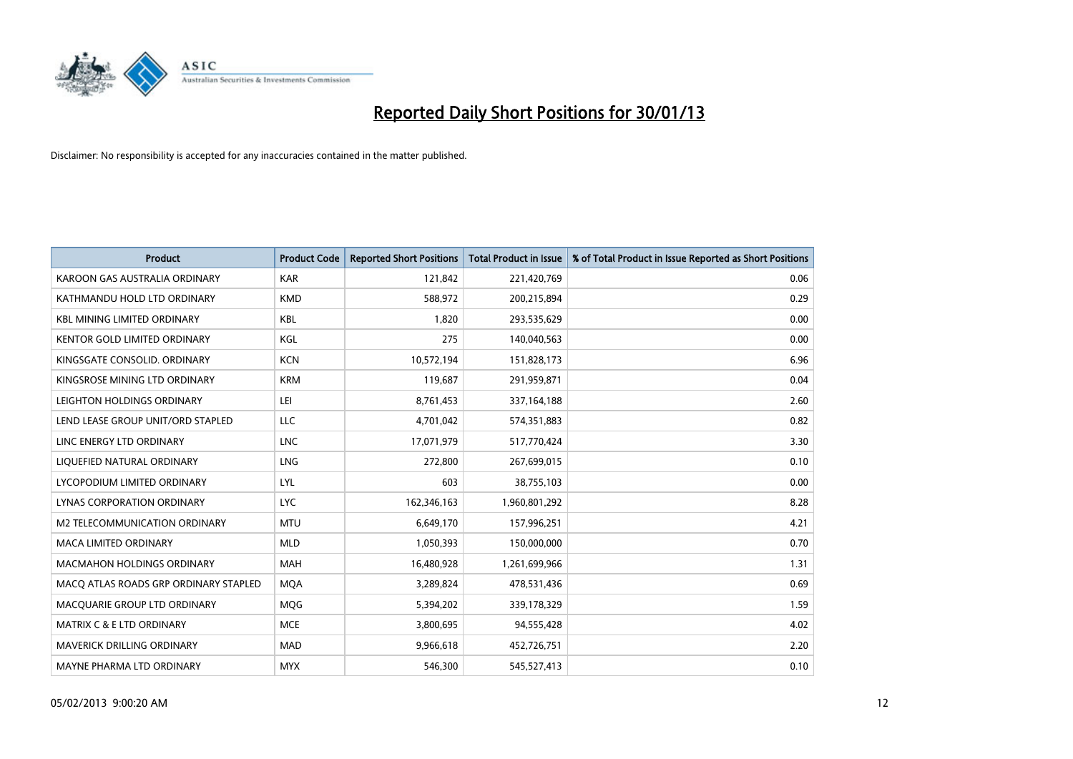

| <b>Product</b>                        | <b>Product Code</b> | <b>Reported Short Positions</b> | <b>Total Product in Issue</b> | % of Total Product in Issue Reported as Short Positions |
|---------------------------------------|---------------------|---------------------------------|-------------------------------|---------------------------------------------------------|
| KAROON GAS AUSTRALIA ORDINARY         | <b>KAR</b>          | 121,842                         | 221,420,769                   | 0.06                                                    |
| KATHMANDU HOLD LTD ORDINARY           | <b>KMD</b>          | 588,972                         | 200,215,894                   | 0.29                                                    |
| <b>KBL MINING LIMITED ORDINARY</b>    | <b>KBL</b>          | 1,820                           | 293,535,629                   | 0.00                                                    |
| KENTOR GOLD LIMITED ORDINARY          | KGL                 | 275                             | 140,040,563                   | 0.00                                                    |
| KINGSGATE CONSOLID. ORDINARY          | <b>KCN</b>          | 10,572,194                      | 151,828,173                   | 6.96                                                    |
| KINGSROSE MINING LTD ORDINARY         | <b>KRM</b>          | 119,687                         | 291,959,871                   | 0.04                                                    |
| LEIGHTON HOLDINGS ORDINARY            | LEI                 | 8,761,453                       | 337, 164, 188                 | 2.60                                                    |
| LEND LEASE GROUP UNIT/ORD STAPLED     | LLC                 | 4,701,042                       | 574,351,883                   | 0.82                                                    |
| LINC ENERGY LTD ORDINARY              | <b>LNC</b>          | 17,071,979                      | 517,770,424                   | 3.30                                                    |
| LIQUEFIED NATURAL ORDINARY            | <b>LNG</b>          | 272,800                         | 267,699,015                   | 0.10                                                    |
| LYCOPODIUM LIMITED ORDINARY           | LYL                 | 603                             | 38,755,103                    | 0.00                                                    |
| <b>LYNAS CORPORATION ORDINARY</b>     | <b>LYC</b>          | 162,346,163                     | 1,960,801,292                 | 8.28                                                    |
| M2 TELECOMMUNICATION ORDINARY         | <b>MTU</b>          | 6,649,170                       | 157,996,251                   | 4.21                                                    |
| <b>MACA LIMITED ORDINARY</b>          | <b>MLD</b>          | 1,050,393                       | 150,000,000                   | 0.70                                                    |
| <b>MACMAHON HOLDINGS ORDINARY</b>     | MAH                 | 16,480,928                      | 1,261,699,966                 | 1.31                                                    |
| MACQ ATLAS ROADS GRP ORDINARY STAPLED | <b>MQA</b>          | 3,289,824                       | 478,531,436                   | 0.69                                                    |
| MACQUARIE GROUP LTD ORDINARY          | MQG                 | 5,394,202                       | 339,178,329                   | 1.59                                                    |
| <b>MATRIX C &amp; E LTD ORDINARY</b>  | <b>MCE</b>          | 3,800,695                       | 94,555,428                    | 4.02                                                    |
| MAVERICK DRILLING ORDINARY            | <b>MAD</b>          | 9,966,618                       | 452,726,751                   | 2.20                                                    |
| MAYNE PHARMA LTD ORDINARY             | <b>MYX</b>          | 546,300                         | 545,527,413                   | 0.10                                                    |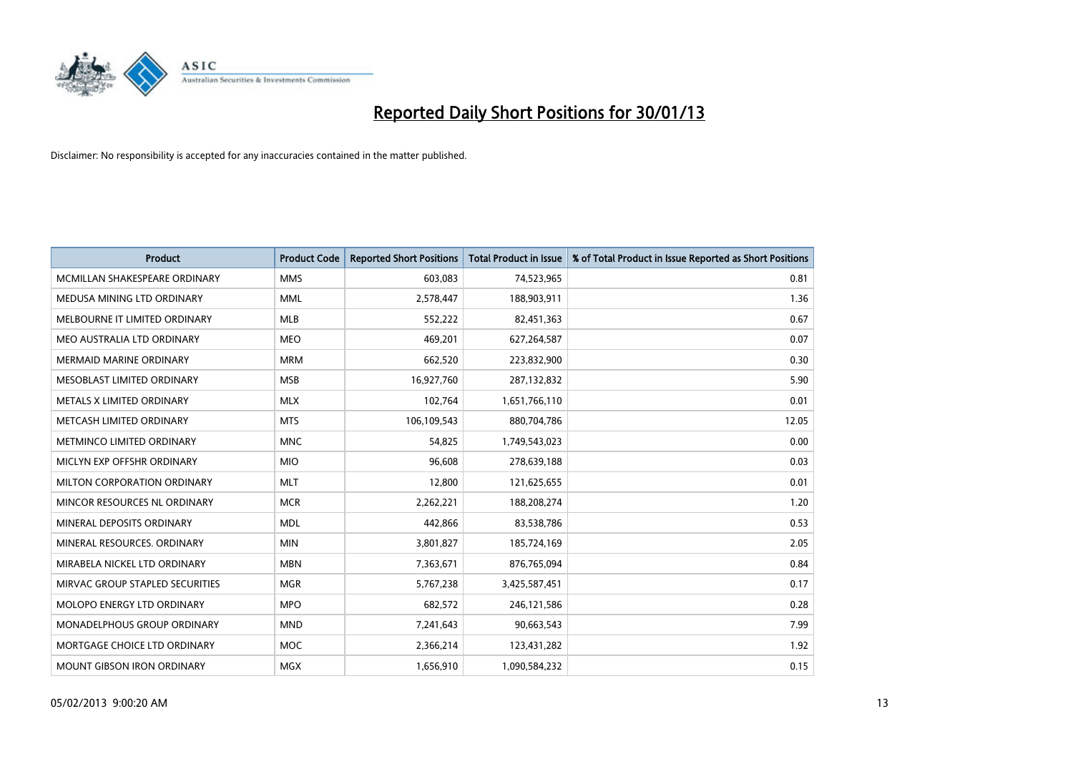

| <b>Product</b>                   | <b>Product Code</b> | <b>Reported Short Positions</b> | <b>Total Product in Issue</b> | % of Total Product in Issue Reported as Short Positions |
|----------------------------------|---------------------|---------------------------------|-------------------------------|---------------------------------------------------------|
| MCMILLAN SHAKESPEARE ORDINARY    | <b>MMS</b>          | 603,083                         | 74,523,965                    | 0.81                                                    |
| MEDUSA MINING LTD ORDINARY       | <b>MML</b>          | 2,578,447                       | 188,903,911                   | 1.36                                                    |
| MELBOURNE IT LIMITED ORDINARY    | <b>MLB</b>          | 552,222                         | 82,451,363                    | 0.67                                                    |
| MEO AUSTRALIA LTD ORDINARY       | <b>MEO</b>          | 469,201                         | 627,264,587                   | 0.07                                                    |
| <b>MERMAID MARINE ORDINARY</b>   | <b>MRM</b>          | 662,520                         | 223,832,900                   | 0.30                                                    |
| MESOBLAST LIMITED ORDINARY       | <b>MSB</b>          | 16,927,760                      | 287,132,832                   | 5.90                                                    |
| <b>METALS X LIMITED ORDINARY</b> | <b>MLX</b>          | 102,764                         | 1,651,766,110                 | 0.01                                                    |
| METCASH LIMITED ORDINARY         | <b>MTS</b>          | 106,109,543                     | 880,704,786                   | 12.05                                                   |
| METMINCO LIMITED ORDINARY        | <b>MNC</b>          | 54,825                          | 1,749,543,023                 | 0.00                                                    |
| MICLYN EXP OFFSHR ORDINARY       | <b>MIO</b>          | 96,608                          | 278,639,188                   | 0.03                                                    |
| MILTON CORPORATION ORDINARY      | <b>MLT</b>          | 12,800                          | 121,625,655                   | 0.01                                                    |
| MINCOR RESOURCES NL ORDINARY     | <b>MCR</b>          | 2,262,221                       | 188,208,274                   | 1.20                                                    |
| MINERAL DEPOSITS ORDINARY        | <b>MDL</b>          | 442,866                         | 83,538,786                    | 0.53                                                    |
| MINERAL RESOURCES, ORDINARY      | <b>MIN</b>          | 3,801,827                       | 185,724,169                   | 2.05                                                    |
| MIRABELA NICKEL LTD ORDINARY     | <b>MBN</b>          | 7,363,671                       | 876,765,094                   | 0.84                                                    |
| MIRVAC GROUP STAPLED SECURITIES  | <b>MGR</b>          | 5,767,238                       | 3,425,587,451                 | 0.17                                                    |
| MOLOPO ENERGY LTD ORDINARY       | <b>MPO</b>          | 682,572                         | 246,121,586                   | 0.28                                                    |
| MONADELPHOUS GROUP ORDINARY      | <b>MND</b>          | 7,241,643                       | 90,663,543                    | 7.99                                                    |
| MORTGAGE CHOICE LTD ORDINARY     | <b>MOC</b>          | 2,366,214                       | 123,431,282                   | 1.92                                                    |
| MOUNT GIBSON IRON ORDINARY       | <b>MGX</b>          | 1,656,910                       | 1,090,584,232                 | 0.15                                                    |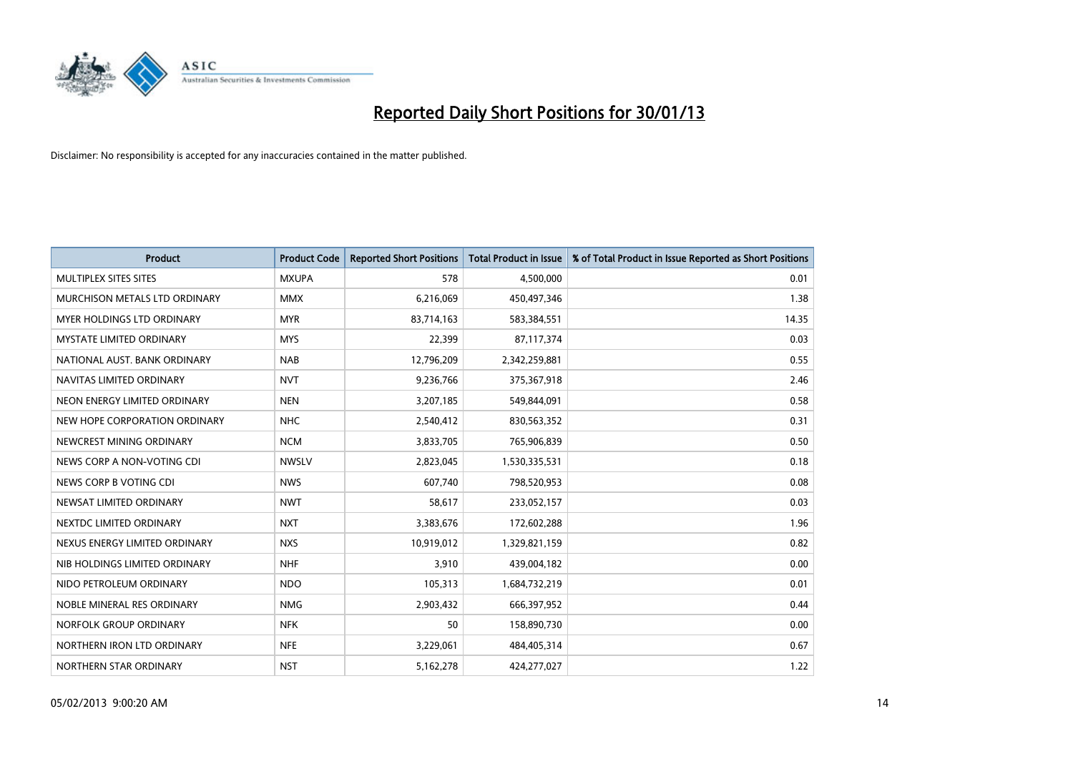

| <b>Product</b>                  | <b>Product Code</b> | <b>Reported Short Positions</b> | <b>Total Product in Issue</b> | % of Total Product in Issue Reported as Short Positions |
|---------------------------------|---------------------|---------------------------------|-------------------------------|---------------------------------------------------------|
| <b>MULTIPLEX SITES SITES</b>    | <b>MXUPA</b>        | 578                             | 4,500,000                     | 0.01                                                    |
| MURCHISON METALS LTD ORDINARY   | <b>MMX</b>          | 6,216,069                       | 450,497,346                   | 1.38                                                    |
| MYER HOLDINGS LTD ORDINARY      | <b>MYR</b>          | 83,714,163                      | 583,384,551                   | 14.35                                                   |
| <b>MYSTATE LIMITED ORDINARY</b> | <b>MYS</b>          | 22,399                          | 87,117,374                    | 0.03                                                    |
| NATIONAL AUST, BANK ORDINARY    | <b>NAB</b>          | 12,796,209                      | 2,342,259,881                 | 0.55                                                    |
| NAVITAS LIMITED ORDINARY        | <b>NVT</b>          | 9,236,766                       | 375,367,918                   | 2.46                                                    |
| NEON ENERGY LIMITED ORDINARY    | <b>NEN</b>          | 3,207,185                       | 549,844,091                   | 0.58                                                    |
| NEW HOPE CORPORATION ORDINARY   | <b>NHC</b>          | 2,540,412                       | 830,563,352                   | 0.31                                                    |
| NEWCREST MINING ORDINARY        | <b>NCM</b>          | 3,833,705                       | 765,906,839                   | 0.50                                                    |
| NEWS CORP A NON-VOTING CDI      | <b>NWSLV</b>        | 2,823,045                       | 1,530,335,531                 | 0.18                                                    |
| NEWS CORP B VOTING CDI          | <b>NWS</b>          | 607,740                         | 798,520,953                   | 0.08                                                    |
| NEWSAT LIMITED ORDINARY         | <b>NWT</b>          | 58,617                          | 233,052,157                   | 0.03                                                    |
| NEXTDC LIMITED ORDINARY         | <b>NXT</b>          | 3,383,676                       | 172,602,288                   | 1.96                                                    |
| NEXUS ENERGY LIMITED ORDINARY   | <b>NXS</b>          | 10,919,012                      | 1,329,821,159                 | 0.82                                                    |
| NIB HOLDINGS LIMITED ORDINARY   | <b>NHF</b>          | 3,910                           | 439,004,182                   | 0.00                                                    |
| NIDO PETROLEUM ORDINARY         | <b>NDO</b>          | 105,313                         | 1,684,732,219                 | 0.01                                                    |
| NOBLE MINERAL RES ORDINARY      | <b>NMG</b>          | 2,903,432                       | 666,397,952                   | 0.44                                                    |
| NORFOLK GROUP ORDINARY          | <b>NFK</b>          | 50                              | 158,890,730                   | 0.00                                                    |
| NORTHERN IRON LTD ORDINARY      | <b>NFE</b>          | 3,229,061                       | 484,405,314                   | 0.67                                                    |
| NORTHERN STAR ORDINARY          | <b>NST</b>          | 5,162,278                       | 424,277,027                   | 1.22                                                    |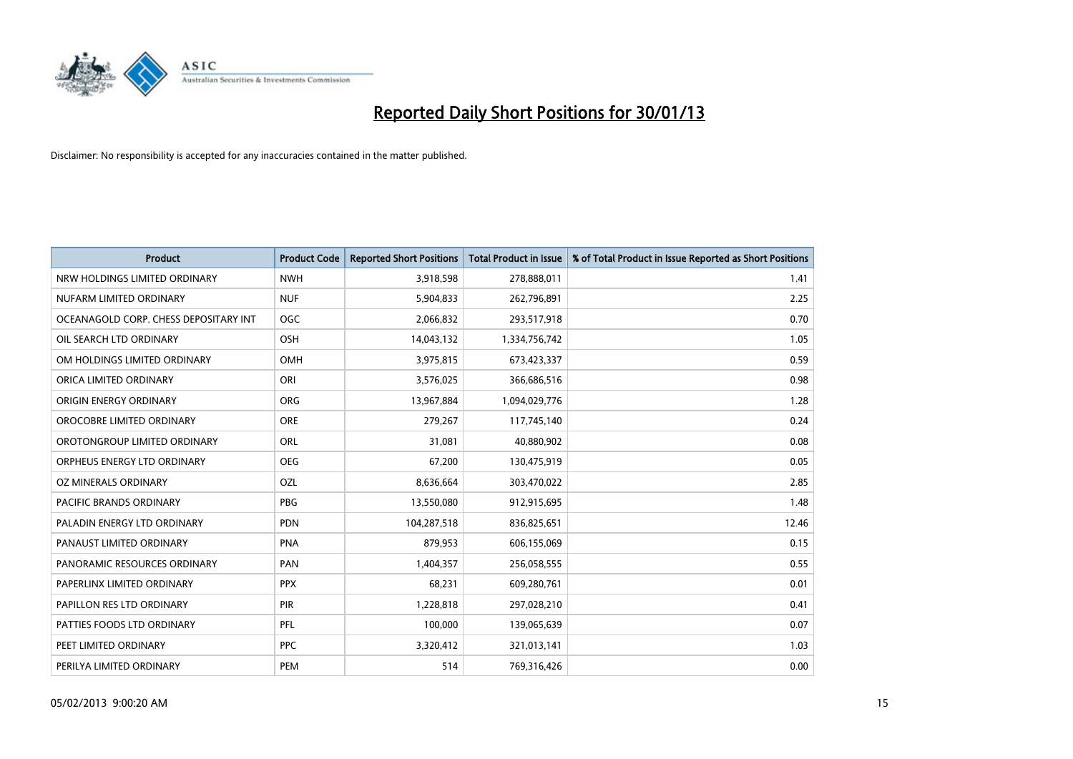

| <b>Product</b>                        | <b>Product Code</b> | <b>Reported Short Positions</b> | <b>Total Product in Issue</b> | % of Total Product in Issue Reported as Short Positions |
|---------------------------------------|---------------------|---------------------------------|-------------------------------|---------------------------------------------------------|
| NRW HOLDINGS LIMITED ORDINARY         | <b>NWH</b>          | 3,918,598                       | 278,888,011                   | 1.41                                                    |
| NUFARM LIMITED ORDINARY               | <b>NUF</b>          | 5,904,833                       | 262,796,891                   | 2.25                                                    |
| OCEANAGOLD CORP. CHESS DEPOSITARY INT | <b>OGC</b>          | 2,066,832                       | 293,517,918                   | 0.70                                                    |
| OIL SEARCH LTD ORDINARY               | <b>OSH</b>          | 14,043,132                      | 1,334,756,742                 | 1.05                                                    |
| OM HOLDINGS LIMITED ORDINARY          | <b>OMH</b>          | 3,975,815                       | 673,423,337                   | 0.59                                                    |
| ORICA LIMITED ORDINARY                | ORI                 | 3,576,025                       | 366,686,516                   | 0.98                                                    |
| ORIGIN ENERGY ORDINARY                | <b>ORG</b>          | 13,967,884                      | 1,094,029,776                 | 1.28                                                    |
| OROCOBRE LIMITED ORDINARY             | <b>ORE</b>          | 279,267                         | 117,745,140                   | 0.24                                                    |
| OROTONGROUP LIMITED ORDINARY          | <b>ORL</b>          | 31,081                          | 40,880,902                    | 0.08                                                    |
| ORPHEUS ENERGY LTD ORDINARY           | <b>OEG</b>          | 67,200                          | 130,475,919                   | 0.05                                                    |
| OZ MINERALS ORDINARY                  | OZL                 | 8,636,664                       | 303,470,022                   | 2.85                                                    |
| PACIFIC BRANDS ORDINARY               | <b>PBG</b>          | 13,550,080                      | 912,915,695                   | 1.48                                                    |
| PALADIN ENERGY LTD ORDINARY           | <b>PDN</b>          | 104,287,518                     | 836,825,651                   | 12.46                                                   |
| PANAUST LIMITED ORDINARY              | <b>PNA</b>          | 879,953                         | 606,155,069                   | 0.15                                                    |
| PANORAMIC RESOURCES ORDINARY          | PAN                 | 1,404,357                       | 256,058,555                   | 0.55                                                    |
| PAPERLINX LIMITED ORDINARY            | <b>PPX</b>          | 68,231                          | 609,280,761                   | 0.01                                                    |
| PAPILLON RES LTD ORDINARY             | PIR                 | 1,228,818                       | 297,028,210                   | 0.41                                                    |
| PATTIES FOODS LTD ORDINARY            | PFL                 | 100,000                         | 139,065,639                   | 0.07                                                    |
| PEET LIMITED ORDINARY                 | <b>PPC</b>          | 3,320,412                       | 321,013,141                   | 1.03                                                    |
| PERILYA LIMITED ORDINARY              | PEM                 | 514                             | 769,316,426                   | 0.00                                                    |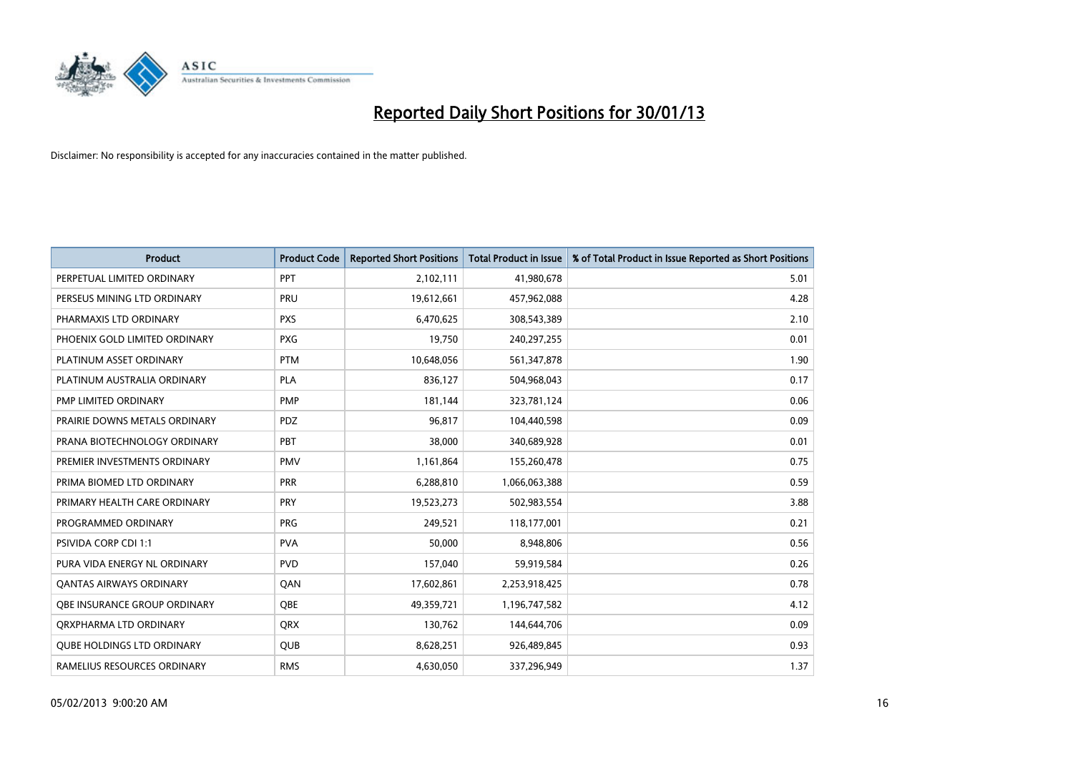

| <b>Product</b>                      | <b>Product Code</b> | <b>Reported Short Positions</b> | <b>Total Product in Issue</b> | % of Total Product in Issue Reported as Short Positions |
|-------------------------------------|---------------------|---------------------------------|-------------------------------|---------------------------------------------------------|
| PERPETUAL LIMITED ORDINARY          | <b>PPT</b>          | 2,102,111                       | 41,980,678                    | 5.01                                                    |
| PERSEUS MINING LTD ORDINARY         | PRU                 | 19,612,661                      | 457,962,088                   | 4.28                                                    |
| PHARMAXIS LTD ORDINARY              | <b>PXS</b>          | 6,470,625                       | 308,543,389                   | 2.10                                                    |
| PHOENIX GOLD LIMITED ORDINARY       | <b>PXG</b>          | 19,750                          | 240,297,255                   | 0.01                                                    |
| PLATINUM ASSET ORDINARY             | <b>PTM</b>          | 10,648,056                      | 561,347,878                   | 1.90                                                    |
| PLATINUM AUSTRALIA ORDINARY         | <b>PLA</b>          | 836,127                         | 504,968,043                   | 0.17                                                    |
| PMP LIMITED ORDINARY                | <b>PMP</b>          | 181.144                         | 323,781,124                   | 0.06                                                    |
| PRAIRIE DOWNS METALS ORDINARY       | <b>PDZ</b>          | 96,817                          | 104,440,598                   | 0.09                                                    |
| PRANA BIOTECHNOLOGY ORDINARY        | PBT                 | 38,000                          | 340,689,928                   | 0.01                                                    |
| PREMIER INVESTMENTS ORDINARY        | <b>PMV</b>          | 1,161,864                       | 155,260,478                   | 0.75                                                    |
| PRIMA BIOMED LTD ORDINARY           | <b>PRR</b>          | 6,288,810                       | 1,066,063,388                 | 0.59                                                    |
| PRIMARY HEALTH CARE ORDINARY        | PRY                 | 19,523,273                      | 502,983,554                   | 3.88                                                    |
| PROGRAMMED ORDINARY                 | <b>PRG</b>          | 249,521                         | 118,177,001                   | 0.21                                                    |
| <b>PSIVIDA CORP CDI 1:1</b>         | <b>PVA</b>          | 50,000                          | 8,948,806                     | 0.56                                                    |
| PURA VIDA ENERGY NL ORDINARY        | <b>PVD</b>          | 157,040                         | 59,919,584                    | 0.26                                                    |
| <b>QANTAS AIRWAYS ORDINARY</b>      | QAN                 | 17,602,861                      | 2,253,918,425                 | 0.78                                                    |
| <b>OBE INSURANCE GROUP ORDINARY</b> | <b>OBE</b>          | 49,359,721                      | 1,196,747,582                 | 4.12                                                    |
| ORXPHARMA LTD ORDINARY              | <b>QRX</b>          | 130,762                         | 144,644,706                   | 0.09                                                    |
| <b>OUBE HOLDINGS LTD ORDINARY</b>   | <b>OUB</b>          | 8,628,251                       | 926,489,845                   | 0.93                                                    |
| RAMELIUS RESOURCES ORDINARY         | <b>RMS</b>          | 4,630,050                       | 337,296,949                   | 1.37                                                    |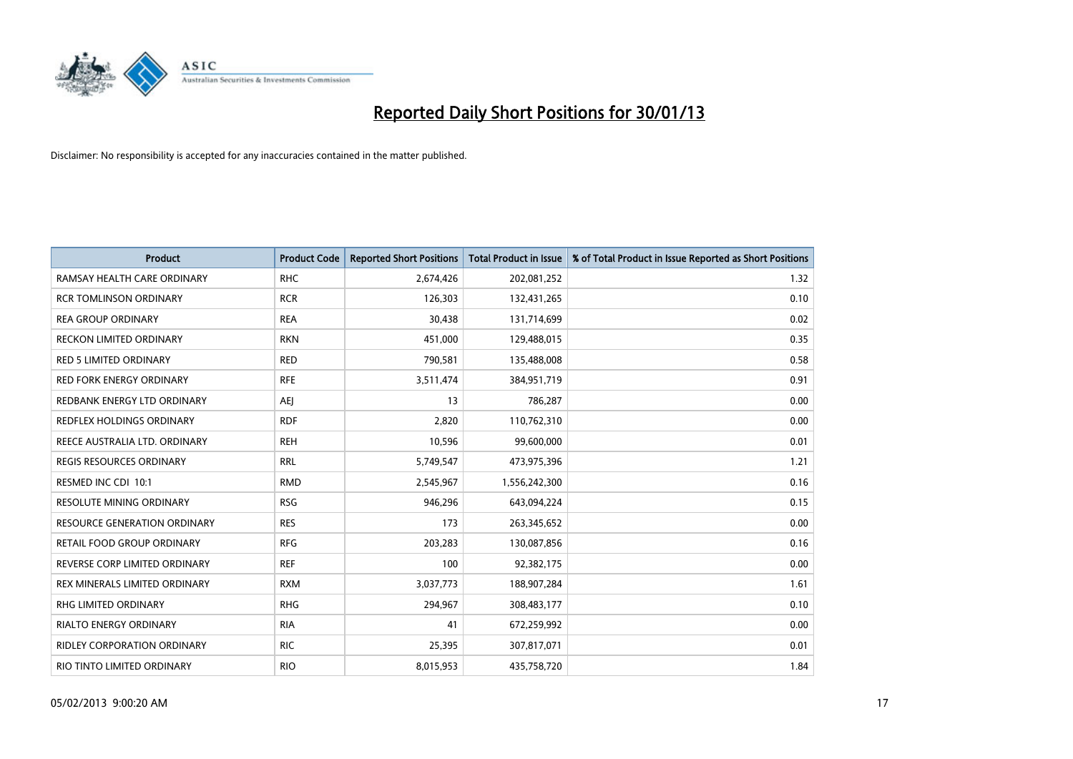

| <b>Product</b>                      | <b>Product Code</b> | <b>Reported Short Positions</b> | <b>Total Product in Issue</b> | % of Total Product in Issue Reported as Short Positions |
|-------------------------------------|---------------------|---------------------------------|-------------------------------|---------------------------------------------------------|
| RAMSAY HEALTH CARE ORDINARY         | <b>RHC</b>          | 2,674,426                       | 202,081,252                   | 1.32                                                    |
| <b>RCR TOMLINSON ORDINARY</b>       | <b>RCR</b>          | 126,303                         | 132,431,265                   | 0.10                                                    |
| <b>REA GROUP ORDINARY</b>           | <b>REA</b>          | 30,438                          | 131,714,699                   | 0.02                                                    |
| <b>RECKON LIMITED ORDINARY</b>      | <b>RKN</b>          | 451,000                         | 129,488,015                   | 0.35                                                    |
| <b>RED 5 LIMITED ORDINARY</b>       | <b>RED</b>          | 790,581                         | 135,488,008                   | 0.58                                                    |
| <b>RED FORK ENERGY ORDINARY</b>     | <b>RFE</b>          | 3,511,474                       | 384,951,719                   | 0.91                                                    |
| REDBANK ENERGY LTD ORDINARY         | AEJ                 | 13                              | 786,287                       | 0.00                                                    |
| REDFLEX HOLDINGS ORDINARY           | <b>RDF</b>          | 2,820                           | 110,762,310                   | 0.00                                                    |
| REECE AUSTRALIA LTD. ORDINARY       | <b>REH</b>          | 10,596                          | 99,600,000                    | 0.01                                                    |
| <b>REGIS RESOURCES ORDINARY</b>     | <b>RRL</b>          | 5,749,547                       | 473,975,396                   | 1.21                                                    |
| RESMED INC CDI 10:1                 | <b>RMD</b>          | 2,545,967                       | 1,556,242,300                 | 0.16                                                    |
| <b>RESOLUTE MINING ORDINARY</b>     | <b>RSG</b>          | 946,296                         | 643,094,224                   | 0.15                                                    |
| <b>RESOURCE GENERATION ORDINARY</b> | <b>RES</b>          | 173                             | 263,345,652                   | 0.00                                                    |
| RETAIL FOOD GROUP ORDINARY          | <b>RFG</b>          | 203,283                         | 130,087,856                   | 0.16                                                    |
| REVERSE CORP LIMITED ORDINARY       | <b>REF</b>          | 100                             | 92,382,175                    | 0.00                                                    |
| REX MINERALS LIMITED ORDINARY       | <b>RXM</b>          | 3,037,773                       | 188,907,284                   | 1.61                                                    |
| RHG LIMITED ORDINARY                | <b>RHG</b>          | 294,967                         | 308,483,177                   | 0.10                                                    |
| <b>RIALTO ENERGY ORDINARY</b>       | <b>RIA</b>          | 41                              | 672,259,992                   | 0.00                                                    |
| <b>RIDLEY CORPORATION ORDINARY</b>  | <b>RIC</b>          | 25,395                          | 307,817,071                   | 0.01                                                    |
| RIO TINTO LIMITED ORDINARY          | <b>RIO</b>          | 8,015,953                       | 435,758,720                   | 1.84                                                    |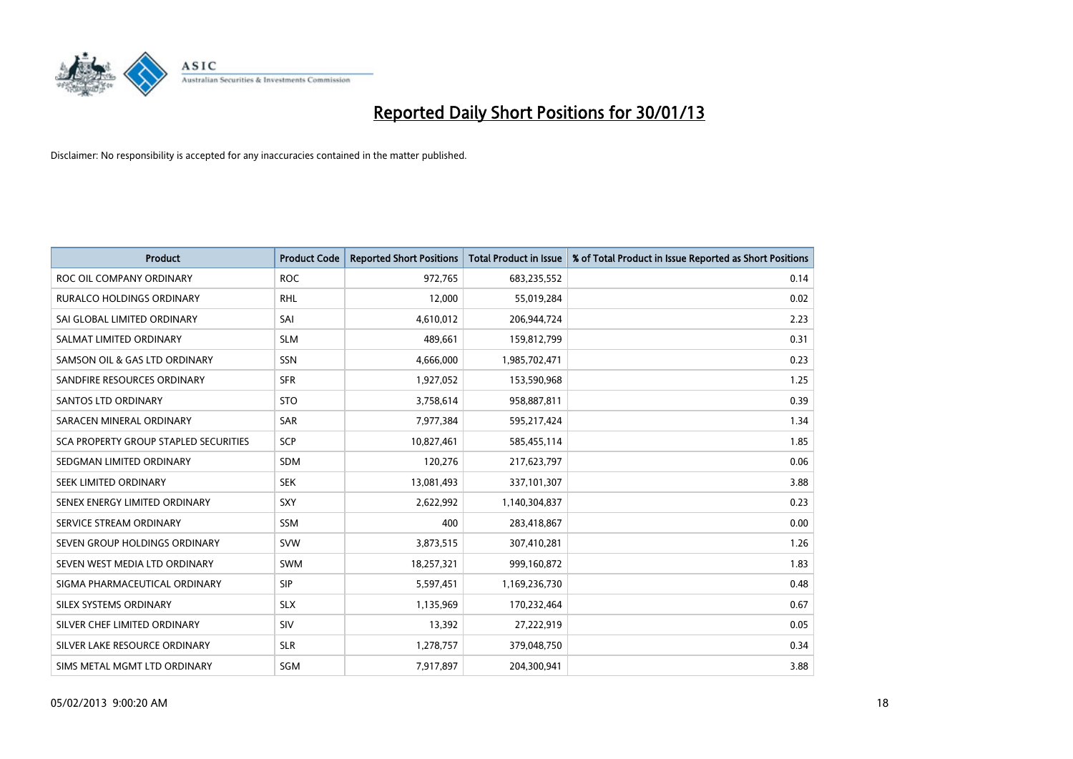

| <b>Product</b>                        | <b>Product Code</b> | <b>Reported Short Positions</b> | <b>Total Product in Issue</b> | % of Total Product in Issue Reported as Short Positions |
|---------------------------------------|---------------------|---------------------------------|-------------------------------|---------------------------------------------------------|
| ROC OIL COMPANY ORDINARY              | <b>ROC</b>          | 972,765                         | 683,235,552                   | 0.14                                                    |
| RURALCO HOLDINGS ORDINARY             | <b>RHL</b>          | 12,000                          | 55,019,284                    | 0.02                                                    |
| SAI GLOBAL LIMITED ORDINARY           | SAI                 | 4,610,012                       | 206,944,724                   | 2.23                                                    |
| SALMAT LIMITED ORDINARY               | <b>SLM</b>          | 489.661                         | 159,812,799                   | 0.31                                                    |
| SAMSON OIL & GAS LTD ORDINARY         | SSN                 | 4,666,000                       | 1,985,702,471                 | 0.23                                                    |
| SANDFIRE RESOURCES ORDINARY           | <b>SFR</b>          | 1,927,052                       | 153,590,968                   | 1.25                                                    |
| <b>SANTOS LTD ORDINARY</b>            | <b>STO</b>          | 3,758,614                       | 958,887,811                   | 0.39                                                    |
| SARACEN MINERAL ORDINARY              | SAR                 | 7,977,384                       | 595,217,424                   | 1.34                                                    |
| SCA PROPERTY GROUP STAPLED SECURITIES | <b>SCP</b>          | 10,827,461                      | 585,455,114                   | 1.85                                                    |
| SEDGMAN LIMITED ORDINARY              | <b>SDM</b>          | 120,276                         | 217,623,797                   | 0.06                                                    |
| SEEK LIMITED ORDINARY                 | <b>SEK</b>          | 13,081,493                      | 337,101,307                   | 3.88                                                    |
| SENEX ENERGY LIMITED ORDINARY         | <b>SXY</b>          | 2,622,992                       | 1,140,304,837                 | 0.23                                                    |
| SERVICE STREAM ORDINARY               | <b>SSM</b>          | 400                             | 283,418,867                   | 0.00                                                    |
| SEVEN GROUP HOLDINGS ORDINARY         | <b>SVW</b>          | 3,873,515                       | 307,410,281                   | 1.26                                                    |
| SEVEN WEST MEDIA LTD ORDINARY         | <b>SWM</b>          | 18,257,321                      | 999,160,872                   | 1.83                                                    |
| SIGMA PHARMACEUTICAL ORDINARY         | <b>SIP</b>          | 5,597,451                       | 1,169,236,730                 | 0.48                                                    |
| SILEX SYSTEMS ORDINARY                | <b>SLX</b>          | 1,135,969                       | 170,232,464                   | 0.67                                                    |
| SILVER CHEF LIMITED ORDINARY          | SIV                 | 13,392                          | 27,222,919                    | 0.05                                                    |
| SILVER LAKE RESOURCE ORDINARY         | <b>SLR</b>          | 1,278,757                       | 379,048,750                   | 0.34                                                    |
| SIMS METAL MGMT LTD ORDINARY          | <b>SGM</b>          | 7,917,897                       | 204,300,941                   | 3.88                                                    |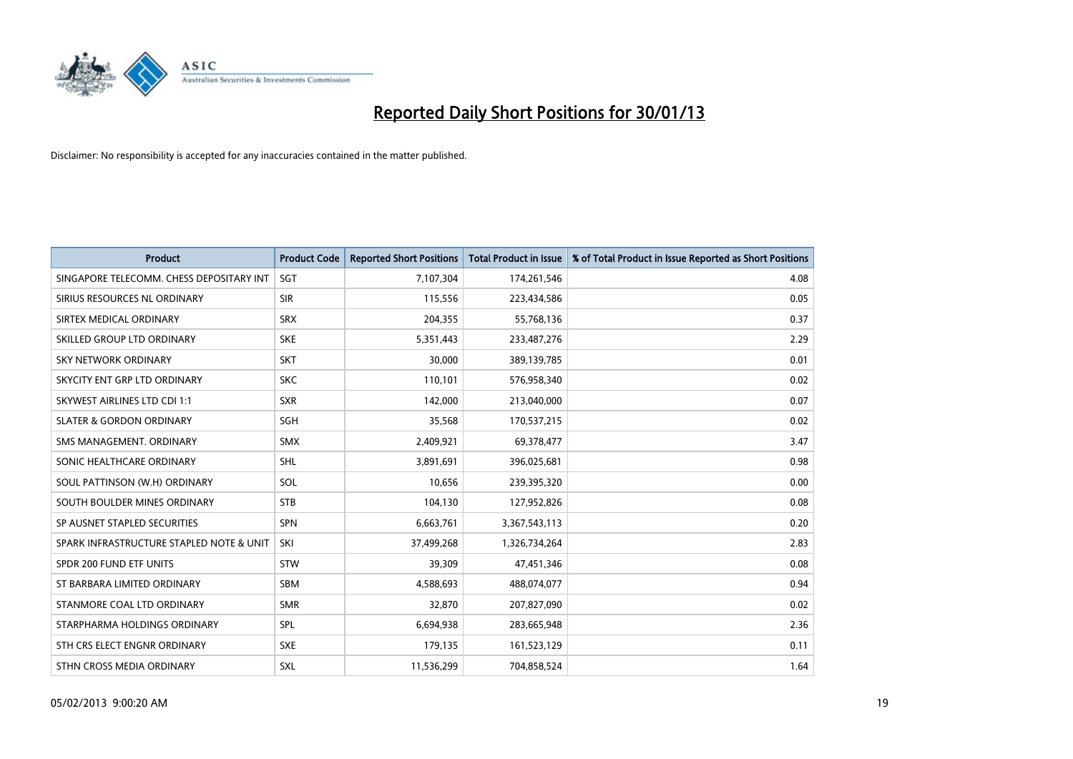

| <b>Product</b>                           | <b>Product Code</b> | <b>Reported Short Positions</b> | <b>Total Product in Issue</b> | % of Total Product in Issue Reported as Short Positions |
|------------------------------------------|---------------------|---------------------------------|-------------------------------|---------------------------------------------------------|
| SINGAPORE TELECOMM. CHESS DEPOSITARY INT | <b>SGT</b>          | 7,107,304                       | 174,261,546                   | 4.08                                                    |
| SIRIUS RESOURCES NL ORDINARY             | <b>SIR</b>          | 115,556                         | 223,434,586                   | 0.05                                                    |
| SIRTEX MEDICAL ORDINARY                  | <b>SRX</b>          | 204,355                         | 55,768,136                    | 0.37                                                    |
| SKILLED GROUP LTD ORDINARY               | <b>SKE</b>          | 5,351,443                       | 233,487,276                   | 2.29                                                    |
| <b>SKY NETWORK ORDINARY</b>              | <b>SKT</b>          | 30,000                          | 389,139,785                   | 0.01                                                    |
| SKYCITY ENT GRP LTD ORDINARY             | <b>SKC</b>          | 110,101                         | 576,958,340                   | 0.02                                                    |
| <b>SKYWEST AIRLINES LTD CDI 1:1</b>      | <b>SXR</b>          | 142,000                         | 213,040,000                   | 0.07                                                    |
| <b>SLATER &amp; GORDON ORDINARY</b>      | <b>SGH</b>          | 35,568                          | 170,537,215                   | 0.02                                                    |
| SMS MANAGEMENT, ORDINARY                 | <b>SMX</b>          | 2,409,921                       | 69,378,477                    | 3.47                                                    |
| SONIC HEALTHCARE ORDINARY                | <b>SHL</b>          | 3,891,691                       | 396,025,681                   | 0.98                                                    |
| SOUL PATTINSON (W.H) ORDINARY            | SOL                 | 10,656                          | 239,395,320                   | 0.00                                                    |
| SOUTH BOULDER MINES ORDINARY             | <b>STB</b>          | 104,130                         | 127,952,826                   | 0.08                                                    |
| SP AUSNET STAPLED SECURITIES             | <b>SPN</b>          | 6,663,761                       | 3,367,543,113                 | 0.20                                                    |
| SPARK INFRASTRUCTURE STAPLED NOTE & UNIT | SKI                 | 37,499,268                      | 1,326,734,264                 | 2.83                                                    |
| SPDR 200 FUND ETF UNITS                  | <b>STW</b>          | 39,309                          | 47,451,346                    | 0.08                                                    |
| ST BARBARA LIMITED ORDINARY              | <b>SBM</b>          | 4,588,693                       | 488,074,077                   | 0.94                                                    |
| STANMORE COAL LTD ORDINARY               | <b>SMR</b>          | 32,870                          | 207,827,090                   | 0.02                                                    |
| STARPHARMA HOLDINGS ORDINARY             | SPL                 | 6,694,938                       | 283,665,948                   | 2.36                                                    |
| STH CRS ELECT ENGNR ORDINARY             | <b>SXE</b>          | 179,135                         | 161,523,129                   | 0.11                                                    |
| STHN CROSS MEDIA ORDINARY                | <b>SXL</b>          | 11,536,299                      | 704,858,524                   | 1.64                                                    |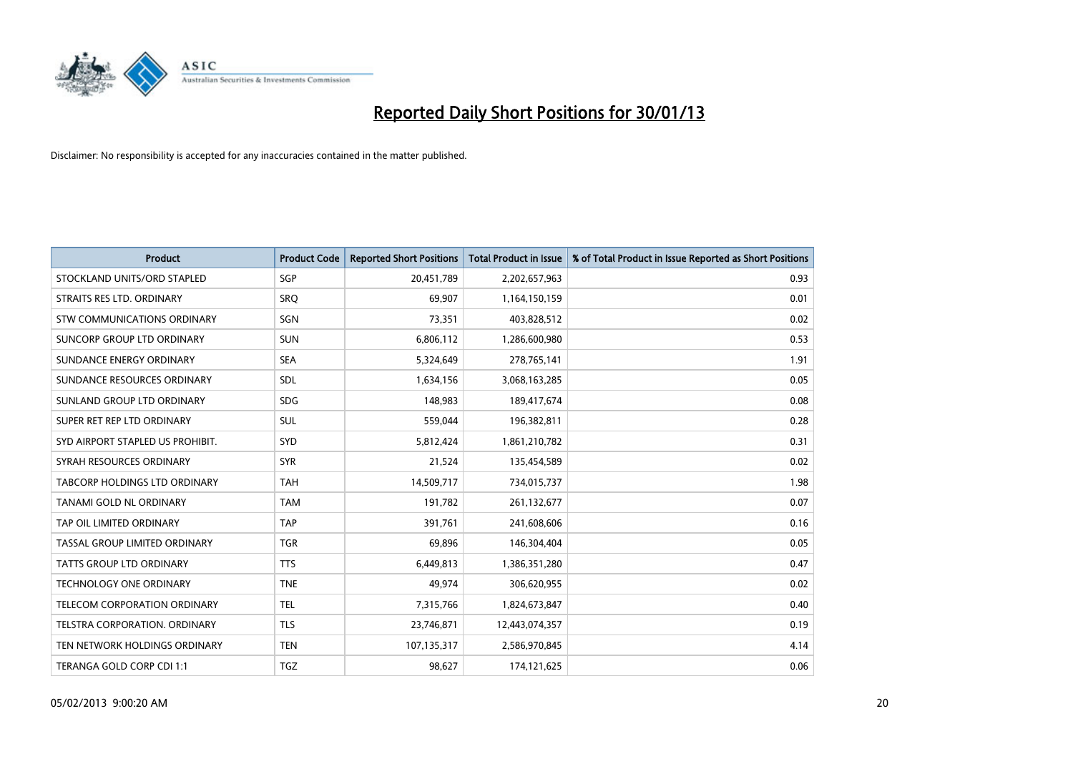

| <b>Product</b>                   | <b>Product Code</b> | <b>Reported Short Positions</b> | <b>Total Product in Issue</b> | % of Total Product in Issue Reported as Short Positions |
|----------------------------------|---------------------|---------------------------------|-------------------------------|---------------------------------------------------------|
| STOCKLAND UNITS/ORD STAPLED      | <b>SGP</b>          | 20,451,789                      | 2,202,657,963                 | 0.93                                                    |
| STRAITS RES LTD. ORDINARY        | SRQ                 | 69,907                          | 1,164,150,159                 | 0.01                                                    |
| STW COMMUNICATIONS ORDINARY      | SGN                 | 73,351                          | 403,828,512                   | 0.02                                                    |
| SUNCORP GROUP LTD ORDINARY       | <b>SUN</b>          | 6,806,112                       | 1,286,600,980                 | 0.53                                                    |
| SUNDANCE ENERGY ORDINARY         | <b>SEA</b>          | 5,324,649                       | 278,765,141                   | 1.91                                                    |
| SUNDANCE RESOURCES ORDINARY      | <b>SDL</b>          | 1,634,156                       | 3,068,163,285                 | 0.05                                                    |
| SUNLAND GROUP LTD ORDINARY       | <b>SDG</b>          | 148,983                         | 189,417,674                   | 0.08                                                    |
| SUPER RET REP LTD ORDINARY       | <b>SUL</b>          | 559,044                         | 196,382,811                   | 0.28                                                    |
| SYD AIRPORT STAPLED US PROHIBIT. | <b>SYD</b>          | 5,812,424                       | 1,861,210,782                 | 0.31                                                    |
| SYRAH RESOURCES ORDINARY         | <b>SYR</b>          | 21,524                          | 135,454,589                   | 0.02                                                    |
| TABCORP HOLDINGS LTD ORDINARY    | <b>TAH</b>          | 14,509,717                      | 734,015,737                   | 1.98                                                    |
| TANAMI GOLD NL ORDINARY          | <b>TAM</b>          | 191,782                         | 261,132,677                   | 0.07                                                    |
| TAP OIL LIMITED ORDINARY         | <b>TAP</b>          | 391,761                         | 241,608,606                   | 0.16                                                    |
| TASSAL GROUP LIMITED ORDINARY    | <b>TGR</b>          | 69,896                          | 146,304,404                   | 0.05                                                    |
| <b>TATTS GROUP LTD ORDINARY</b>  | <b>TTS</b>          | 6,449,813                       | 1,386,351,280                 | 0.47                                                    |
| TECHNOLOGY ONE ORDINARY          | <b>TNE</b>          | 49,974                          | 306,620,955                   | 0.02                                                    |
| TELECOM CORPORATION ORDINARY     | <b>TEL</b>          | 7,315,766                       | 1,824,673,847                 | 0.40                                                    |
| TELSTRA CORPORATION, ORDINARY    | <b>TLS</b>          | 23,746,871                      | 12,443,074,357                | 0.19                                                    |
| TEN NETWORK HOLDINGS ORDINARY    | <b>TEN</b>          | 107,135,317                     | 2,586,970,845                 | 4.14                                                    |
| TERANGA GOLD CORP CDI 1:1        | <b>TGZ</b>          | 98,627                          | 174,121,625                   | 0.06                                                    |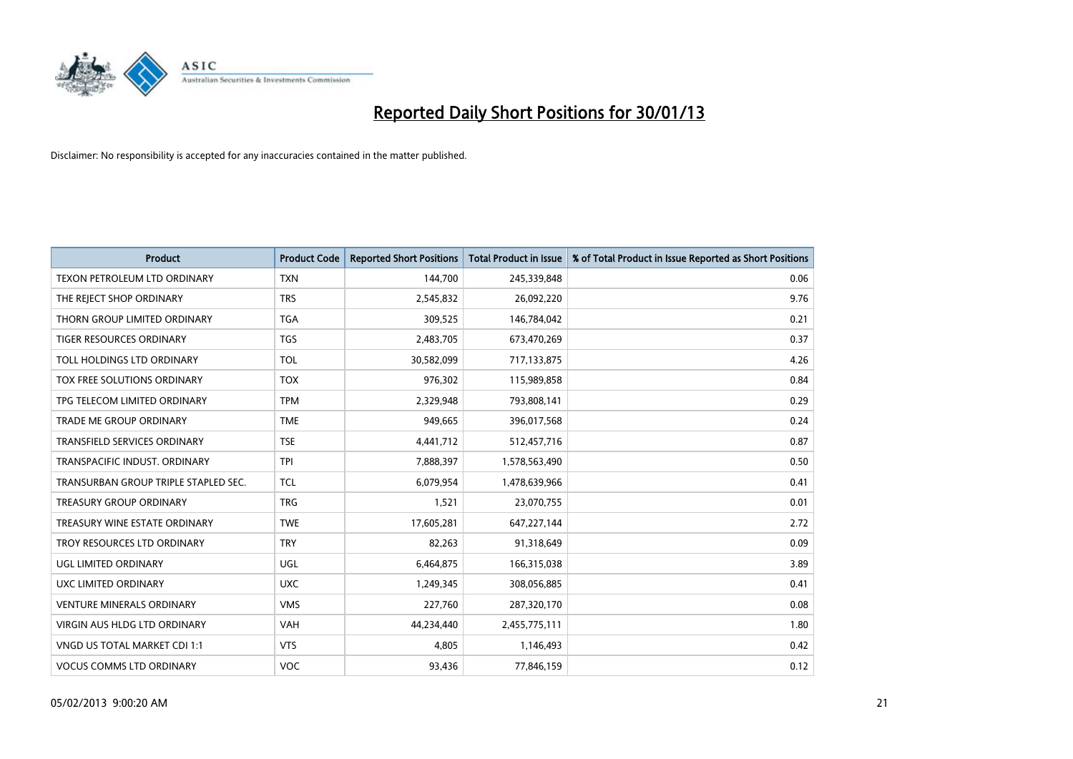

| <b>Product</b>                       | <b>Product Code</b> | <b>Reported Short Positions</b> | <b>Total Product in Issue</b> | % of Total Product in Issue Reported as Short Positions |
|--------------------------------------|---------------------|---------------------------------|-------------------------------|---------------------------------------------------------|
| <b>TEXON PETROLEUM LTD ORDINARY</b>  | <b>TXN</b>          | 144,700                         | 245,339,848                   | 0.06                                                    |
| THE REJECT SHOP ORDINARY             | <b>TRS</b>          | 2,545,832                       | 26,092,220                    | 9.76                                                    |
| THORN GROUP LIMITED ORDINARY         | <b>TGA</b>          | 309,525                         | 146,784,042                   | 0.21                                                    |
| TIGER RESOURCES ORDINARY             | <b>TGS</b>          | 2,483,705                       | 673,470,269                   | 0.37                                                    |
| <b>TOLL HOLDINGS LTD ORDINARY</b>    | <b>TOL</b>          | 30,582,099                      | 717,133,875                   | 4.26                                                    |
| TOX FREE SOLUTIONS ORDINARY          | <b>TOX</b>          | 976,302                         | 115,989,858                   | 0.84                                                    |
| TPG TELECOM LIMITED ORDINARY         | <b>TPM</b>          | 2,329,948                       | 793,808,141                   | 0.29                                                    |
| TRADE ME GROUP ORDINARY              | <b>TME</b>          | 949,665                         | 396,017,568                   | 0.24                                                    |
| <b>TRANSFIELD SERVICES ORDINARY</b>  | <b>TSE</b>          | 4,441,712                       | 512,457,716                   | 0.87                                                    |
| TRANSPACIFIC INDUST, ORDINARY        | <b>TPI</b>          | 7,888,397                       | 1,578,563,490                 | 0.50                                                    |
| TRANSURBAN GROUP TRIPLE STAPLED SEC. | <b>TCL</b>          | 6,079,954                       | 1,478,639,966                 | 0.41                                                    |
| <b>TREASURY GROUP ORDINARY</b>       | <b>TRG</b>          | 1,521                           | 23,070,755                    | 0.01                                                    |
| TREASURY WINE ESTATE ORDINARY        | <b>TWE</b>          | 17,605,281                      | 647,227,144                   | 2.72                                                    |
| TROY RESOURCES LTD ORDINARY          | <b>TRY</b>          | 82,263                          | 91,318,649                    | 0.09                                                    |
| <b>UGL LIMITED ORDINARY</b>          | UGL                 | 6,464,875                       | 166,315,038                   | 3.89                                                    |
| UXC LIMITED ORDINARY                 | <b>UXC</b>          | 1,249,345                       | 308,056,885                   | 0.41                                                    |
| <b>VENTURE MINERALS ORDINARY</b>     | <b>VMS</b>          | 227,760                         | 287,320,170                   | 0.08                                                    |
| VIRGIN AUS HLDG LTD ORDINARY         | <b>VAH</b>          | 44,234,440                      | 2,455,775,111                 | 1.80                                                    |
| VNGD US TOTAL MARKET CDI 1:1         | <b>VTS</b>          | 4,805                           | 1,146,493                     | 0.42                                                    |
| <b>VOCUS COMMS LTD ORDINARY</b>      | <b>VOC</b>          | 93,436                          | 77,846,159                    | 0.12                                                    |